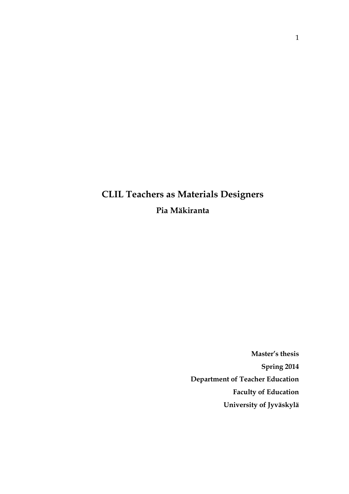# **CLIL Teachers as Materials Designers Pia Mäkiranta**

**Master's thesis Spring 2014 Department of Teacher Education Faculty of Education University of Jyväskylä**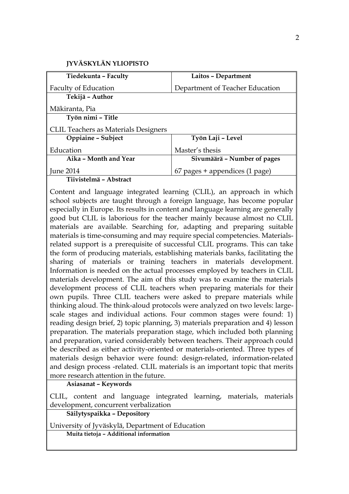| Tiedekunta - Faculty                        | Laitos - Department              |
|---------------------------------------------|----------------------------------|
| Faculty of Education                        | Department of Teacher Education  |
| Tekijä – Author                             |                                  |
| Mäkiranta, Pia                              |                                  |
| Työn nimi - Title                           |                                  |
| <b>CLIL Teachers as Materials Designers</b> |                                  |
| Oppiaine - Subject                          | Työn Laji - Level                |
| Education                                   | Master's thesis                  |
| Aika - Month and Year                       | Sivumäärä - Number of pages      |
| <b>June 2014</b>                            | $67$ pages + appendices (1 page) |
| Tiivistelmä - Abstract                      |                                  |

Content and language integrated learning (CLIL), an approach in which school subjects are taught through a foreign language, has become popular especially in Europe. Its results in content and language learning are generally good but CLIL is laborious for the teacher mainly because almost no CLIL materials are available. Searching for, adapting and preparing suitable materials is time-consuming and may require special competencies. Materialsrelated support is a prerequisite of successful CLIL programs. This can take the form of producing materials, establishing materials banks, facilitating the sharing of materials or training teachers in materials development. Information is needed on the actual processes employed by teachers in CLIL materials development. The aim of this study was to examine the materials development process of CLIL teachers when preparing materials for their own pupils. Three CLIL teachers were asked to prepare materials while thinking aloud. The think-aloud protocols were analyzed on two levels: largescale stages and individual actions. Four common stages were found: 1) reading design brief, 2) topic planning, 3) materials preparation and 4) lesson preparation. The materials preparation stage, which included both planning and preparation, varied considerably between teachers. Their approach could be described as either activity-oriented or materials-oriented. Three types of materials design behavior were found: design-related, information-related and design process -related. CLIL materials is an important topic that merits more research attention in the future.

**Asiasanat – Keywords**

CLIL, content and language integrated learning, materials, materials development, concurrent verbalization

**Säilytyspaikka – Depository**

University of Jyväskylä, Department of Education **Muita tietoja – Additional information**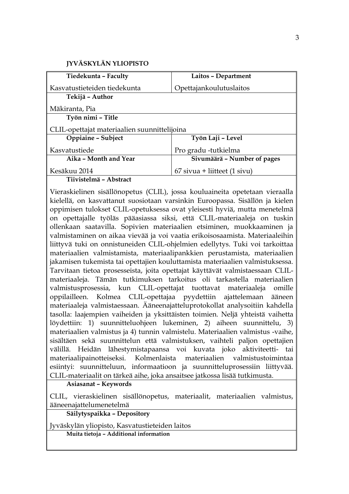| Tiedekunta - Faculty                         | Laitos - Department            |  |  |  |
|----------------------------------------------|--------------------------------|--|--|--|
| Kasvatustieteiden tiedekunta                 | Opettajankoulutuslaitos        |  |  |  |
| Tekijä – Author                              |                                |  |  |  |
| Mäkiranta, Pia                               |                                |  |  |  |
| Työn nimi - Title                            |                                |  |  |  |
| CLIL-opettajat materiaalien suunnittelijoina |                                |  |  |  |
| Oppiaine - Subject                           | Työn Laji - Level              |  |  |  |
| Kasvatustiede                                | Pro gradu -tutkielma           |  |  |  |
| Aika - Month and Year                        | Sivumäärä – Number of pages    |  |  |  |
| Kesäkuu 2014                                 | $67$ sivua + liitteet (1 sivu) |  |  |  |
| Tiivistelmä - Abstract                       |                                |  |  |  |

Vieraskielinen sisällönopetus (CLIL), jossa kouluaineita opetetaan vieraalla kielellä, on kasvattanut suosiotaan varsinkin Euroopassa. Sisällön ja kielen oppimisen tulokset CLIL-opetuksessa ovat yleisesti hyviä, mutta menetelmä on opettajalle työläs pääasiassa siksi, että CLIL-materiaaleja on tuskin ollenkaan saatavilla. Sopivien materiaalien etsiminen, muokkaaminen ja valmistaminen on aikaa vievää ja voi vaatia erikoisosaamista. Materiaaleihin liittyvä tuki on onnistuneiden CLIL-ohjelmien edellytys. Tuki voi tarkoittaa materiaalien valmistamista, materiaalipankkien perustamista, materiaalien jakamisen tukemista tai opettajien kouluttamista materiaalien valmistuksessa. Tarvitaan tietoa prosesseista, joita opettajat käyttävät valmistaessaan CLILmateriaaleja. Tämän tutkimuksen tarkoitus oli tarkastella materiaalien valmistusprosessia, kun CLIL-opettajat tuottavat materiaaleja omille oppilailleen. Kolmea CLIL-opettajaa pyydettiin ajattelemaan ääneen materiaaleja valmistaessaan. Ääneenajatteluprotokollat analysoitiin kahdella tasolla: laajempien vaiheiden ja yksittäisten toimien. Neljä yhteistä vaihetta löydettiin: 1) suunnitteluohjeen lukeminen, 2) aiheen suunnittelu, 3) materiaalien valmistus ja 4) tunnin valmistelu. Materiaalien valmistus -vaihe, sisältäen sekä suunnittelun että valmistuksen, vaihteli paljon opettajien välillä. Heidän lähestymistapaansa voi kuvata joko aktiviteetti- tai materiaalipainotteiseksi. Kolmenlaista materiaalien valmistustoimintaa esiintyi: suunnitteluun, informaatioon ja suunnitteluprosessiin liittyvää. CLIL-materiaalit on tärkeä aihe, joka ansaitsee jatkossa lisää tutkimusta.

**Asiasanat – Keywords**

CLIL, vieraskielinen sisällönopetus, materiaalit, materiaalien valmistus, ääneenajattelumenetelmä

**Säilytyspaikka – Depository**

Jyväskylän yliopisto, Kasvatustieteiden laitos

**Muita tietoja – Additional information**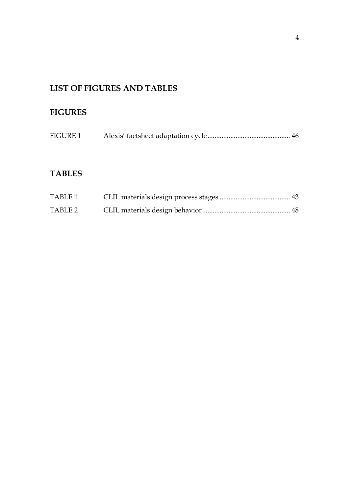# **LIST OF FIGURES AND TABLES**

# **FIGURES**

|  | <b>FIGURE 1</b> |  |  |
|--|-----------------|--|--|
|--|-----------------|--|--|

# **TABLES**

| TABLE 1 |  |
|---------|--|
| TABLE 2 |  |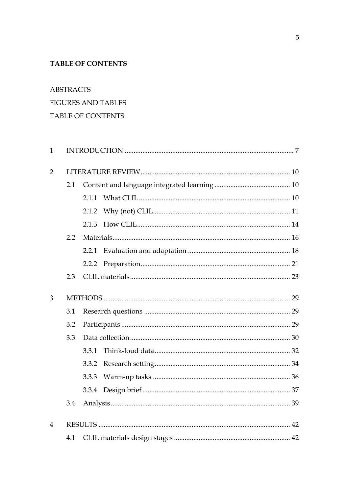# **TABLE OF CONTENTS**

**ABSTRACTS** 

# **FIGURES AND TABLES**

# TABLE OF CONTENTS

| $\mathbf{1}$   |     |       |  |  |  |
|----------------|-----|-------|--|--|--|
| $\overline{2}$ |     |       |  |  |  |
|                | 2.1 |       |  |  |  |
|                |     | 2.1.1 |  |  |  |
|                |     | 2.1.2 |  |  |  |
|                |     | 2.1.3 |  |  |  |
|                | 2.2 |       |  |  |  |
|                |     | 2.2.1 |  |  |  |
|                |     | 2.2.2 |  |  |  |
|                | 2.3 |       |  |  |  |
| 3              |     |       |  |  |  |
|                | 3.1 |       |  |  |  |
|                | 3.2 |       |  |  |  |
|                | 3.3 |       |  |  |  |
|                |     | 3.3.1 |  |  |  |
|                |     | 3.3.2 |  |  |  |
|                |     | 3.3.3 |  |  |  |
|                |     | 3.3.4 |  |  |  |
|                | 3.4 |       |  |  |  |
| $\overline{4}$ |     |       |  |  |  |
|                | 4.1 |       |  |  |  |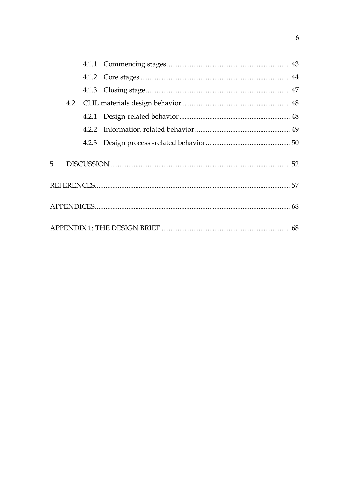| 5 |  |  |
|---|--|--|
|   |  |  |
|   |  |  |
|   |  |  |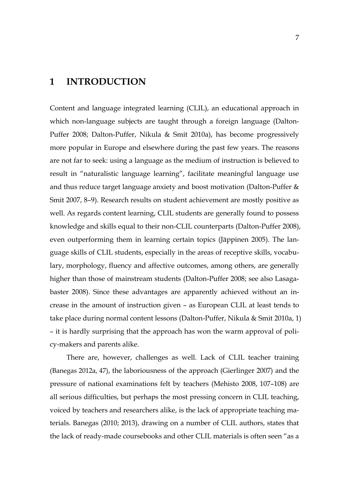# <span id="page-6-0"></span>**1 INTRODUCTION**

Content and language integrated learning (CLIL), an educational approach in which non-language subjects are taught through a foreign language (Dalton-Puffer 2008; Dalton-Puffer, Nikula & Smit 2010a), has become progressively more popular in Europe and elsewhere during the past few years. The reasons are not far to seek: using a language as the medium of instruction is believed to result in "naturalistic language learning", facilitate meaningful language use and thus reduce target language anxiety and boost motivation (Dalton-Puffer & Smit 2007, 8–9). Research results on student achievement are mostly positive as well. As regards content learning, CLIL students are generally found to possess knowledge and skills equal to their non-CLIL counterparts (Dalton-Puffer 2008), even outperforming them in learning certain topics (Jäppinen 2005). The language skills of CLIL students, especially in the areas of receptive skills, vocabulary, morphology, fluency and affective outcomes, among others, are generally higher than those of mainstream students (Dalton-Puffer 2008; see also Lasagabaster 2008). Since these advantages are apparently achieved without an increase in the amount of instruction given – as European CLIL at least tends to take place during normal content lessons (Dalton-Puffer, Nikula & Smit 2010a, 1) – it is hardly surprising that the approach has won the warm approval of policy-makers and parents alike.

There are, however, challenges as well. Lack of CLIL teacher training (Banegas 2012a, 47), the laboriousness of the approach (Gierlinger 2007) and the pressure of national examinations felt by teachers (Mehisto 2008, 107–108) are all serious difficulties, but perhaps the most pressing concern in CLIL teaching, voiced by teachers and researchers alike, is the lack of appropriate teaching materials. Banegas (2010; 2013), drawing on a number of CLIL authors, states that the lack of ready-made coursebooks and other CLIL materials is often seen "as a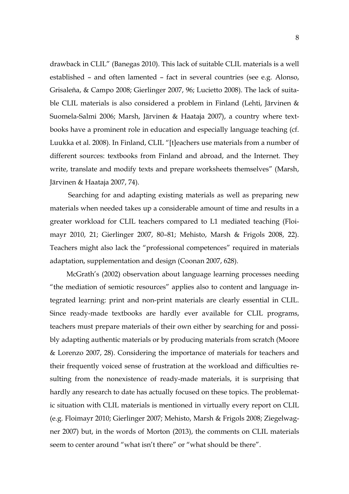drawback in CLIL" (Banegas 2010). This lack of suitable CLIL materials is a well established – and often lamented – fact in several countries (see e.g. Alonso, Grisaleña, & Campo 2008; Gierlinger 2007, 96; Lucietto 2008). The lack of suitable CLIL materials is also considered a problem in Finland (Lehti, Järvinen & Suomela-Salmi 2006; Marsh, Järvinen & Haataja 2007), a country where textbooks have a prominent role in education and especially language teaching (cf. Luukka et al. 2008). In Finland, CLIL "[t]eachers use materials from a number of different sources: textbooks from Finland and abroad, and the Internet. They write, translate and modify texts and prepare worksheets themselves" (Marsh, Järvinen & Haataja 2007, 74).

Searching for and adapting existing materials as well as preparing new materials when needed takes up a considerable amount of time and results in a greater workload for CLIL teachers compared to L1 mediated teaching (Floimayr 2010, 21; Gierlinger 2007, 80–81; Mehisto, Marsh & Frigols 2008, 22). Teachers might also lack the "professional competences" required in materials adaptation, supplementation and design (Coonan 2007, 628).

McGrath's (2002) observation about language learning processes needing "the mediation of semiotic resources" applies also to content and language integrated learning: print and non-print materials are clearly essential in CLIL. Since ready-made textbooks are hardly ever available for CLIL programs, teachers must prepare materials of their own either by searching for and possibly adapting authentic materials or by producing materials from scratch (Moore & Lorenzo 2007, 28). Considering the importance of materials for teachers and their frequently voiced sense of frustration at the workload and difficulties resulting from the nonexistence of ready-made materials, it is surprising that hardly any research to date has actually focused on these topics. The problematic situation with CLIL materials is mentioned in virtually every report on CLIL (e.g. Floimayr 2010; Gierlinger 2007; Mehisto, Marsh & Frigols 2008; Ziegelwagner 2007) but, in the words of Morton (2013), the comments on CLIL materials seem to center around "what isn't there" or "what should be there".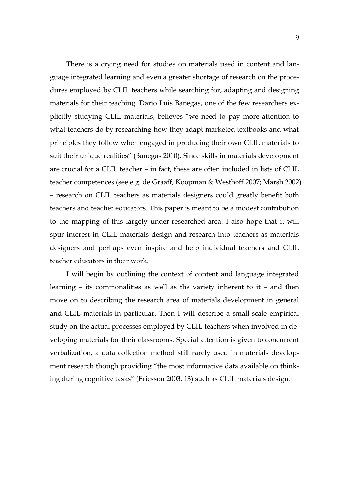There is a crying need for studies on materials used in content and language integrated learning and even a greater shortage of research on the procedures employed by CLIL teachers while searching for, adapting and designing materials for their teaching. Darío Luis Banegas, one of the few researchers explicitly studying CLIL materials, believes "we need to pay more attention to what teachers do by researching how they adapt marketed textbooks and what principles they follow when engaged in producing their own CLIL materials to suit their unique realities" (Banegas 2010). Since skills in materials development are crucial for a CLIL teacher – in fact, these are often included in lists of CLIL teacher competences (see e.g. de Graaff, Koopman & Westhoff 2007; Marsh 2002) – research on CLIL teachers as materials designers could greatly benefit both teachers and teacher educators. This paper is meant to be a modest contribution to the mapping of this largely under-researched area. I also hope that it will spur interest in CLIL materials design and research into teachers as materials designers and perhaps even inspire and help individual teachers and CLIL teacher educators in their work.

I will begin by outlining the context of content and language integrated learning – its commonalities as well as the variety inherent to it – and then move on to describing the research area of materials development in general and CLIL materials in particular. Then I will describe a small-scale empirical study on the actual processes employed by CLIL teachers when involved in developing materials for their classrooms. Special attention is given to concurrent verbalization, a data collection method still rarely used in materials development research though providing "the most informative data available on thinking during cognitive tasks" (Ericsson 2003, 13) such as CLIL materials design.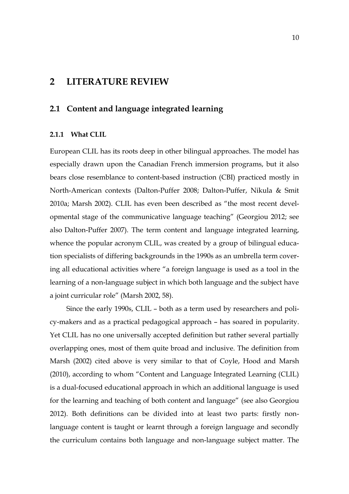# <span id="page-9-0"></span>**2 LITERATURE REVIEW**

# <span id="page-9-1"></span>**2.1 Content and language integrated learning**

#### <span id="page-9-2"></span>**2.1.1 What CLIL**

European CLIL has its roots deep in other bilingual approaches. The model has especially drawn upon the Canadian French immersion programs, but it also bears close resemblance to content-based instruction (CBI) practiced mostly in North-American contexts (Dalton-Puffer 2008; Dalton-Puffer, Nikula & Smit 2010a; Marsh 2002). CLIL has even been described as "the most recent developmental stage of the communicative language teaching" (Georgiou 2012; see also Dalton-Puffer 2007). The term content and language integrated learning, whence the popular acronym CLIL, was created by a group of bilingual education specialists of differing backgrounds in the 1990s as an umbrella term covering all educational activities where "a foreign language is used as a tool in the learning of a non-language subject in which both language and the subject have a joint curricular role" (Marsh 2002, 58).

Since the early 1990s, CLIL – both as a term used by researchers and policy-makers and as a practical pedagogical approach – has soared in popularity. Yet CLIL has no one universally accepted definition but rather several partially overlapping ones, most of them quite broad and inclusive. The definition from Marsh (2002) cited above is very similar to that of Coyle, Hood and Marsh (2010), according to whom "Content and Language Integrated Learning (CLIL) is a dual-focused educational approach in which an additional language is used for the learning and teaching of both content and language" (see also Georgiou 2012). Both definitions can be divided into at least two parts: firstly nonlanguage content is taught or learnt through a foreign language and secondly the curriculum contains both language and non-language subject matter. The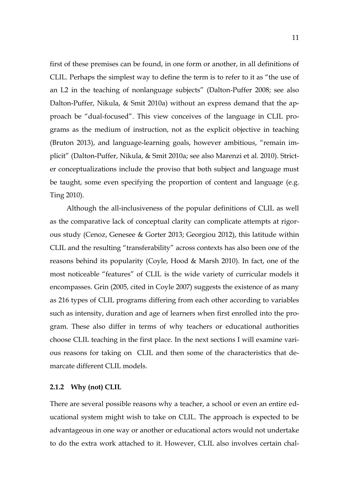first of these premises can be found, in one form or another, in all definitions of CLIL. Perhaps the simplest way to define the term is to refer to it as "the use of an L2 in the teaching of nonlanguage subjects" (Dalton-Puffer 2008; see also Dalton-Puffer, Nikula, & Smit 2010a) without an express demand that the approach be "dual-focused". This view conceives of the language in CLIL programs as the medium of instruction, not as the explicit objective in teaching (Bruton 2013), and language-learning goals, however ambitious, "remain implicit" (Dalton-Puffer, Nikula, & Smit 2010a; see also Marenzi et al. 2010). Stricter conceptualizations include the proviso that both subject and language must be taught, some even specifying the proportion of content and language (e.g. Ting 2010).

Although the all-inclusiveness of the popular definitions of CLIL as well as the comparative lack of conceptual clarity can complicate attempts at rigorous study (Cenoz, Genesee & Gorter 2013; Georgiou 2012), this latitude within CLIL and the resulting "transferability" across contexts has also been one of the reasons behind its popularity (Coyle, Hood & Marsh 2010). In fact, one of the most noticeable "features" of CLIL is the wide variety of curricular models it encompasses. Grin (2005, cited in Coyle 2007) suggests the existence of as many as 216 types of CLIL programs differing from each other according to variables such as intensity, duration and age of learners when first enrolled into the program. These also differ in terms of why teachers or educational authorities choose CLIL teaching in the first place. In the next sections I will examine various reasons for taking on CLIL and then some of the characteristics that demarcate different CLIL models.

#### <span id="page-10-0"></span>**2.1.2 Why (not) CLIL**

There are several possible reasons why a teacher, a school or even an entire educational system might wish to take on CLIL. The approach is expected to be advantageous in one way or another or educational actors would not undertake to do the extra work attached to it. However, CLIL also involves certain chal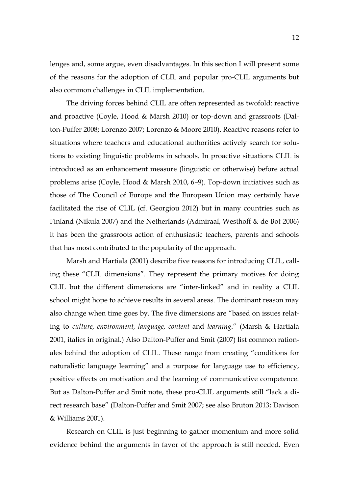lenges and, some argue, even disadvantages. In this section I will present some of the reasons for the adoption of CLIL and popular pro-CLIL arguments but also common challenges in CLIL implementation.

The driving forces behind CLIL are often represented as twofold: reactive and proactive (Coyle, Hood & Marsh 2010) or top-down and grassroots (Dalton-Puffer 2008; Lorenzo 2007; Lorenzo & Moore 2010). Reactive reasons refer to situations where teachers and educational authorities actively search for solutions to existing linguistic problems in schools. In proactive situations CLIL is introduced as an enhancement measure (linguistic or otherwise) before actual problems arise (Coyle, Hood & Marsh 2010, 6–9). Top-down initiatives such as those of The Council of Europe and the European Union may certainly have facilitated the rise of CLIL (cf. Georgiou 2012) but in many countries such as Finland (Nikula 2007) and the Netherlands (Admiraal, Westhoff & de Bot 2006) it has been the grassroots action of enthusiastic teachers, parents and schools that has most contributed to the popularity of the approach.

Marsh and Hartiala (2001) describe five reasons for introducing CLIL, calling these "CLIL dimensions". They represent the primary motives for doing CLIL but the different dimensions are "inter-linked" and in reality a CLIL school might hope to achieve results in several areas. The dominant reason may also change when time goes by. The five dimensions are "based on issues relating to *culture, environment, language, content* and *learning*." (Marsh & Hartiala 2001, italics in original.) Also Dalton-Puffer and Smit (2007) list common rationales behind the adoption of CLIL. These range from creating "conditions for naturalistic language learning" and a purpose for language use to efficiency, positive effects on motivation and the learning of communicative competence. But as Dalton-Puffer and Smit note, these pro-CLIL arguments still "lack a direct research base" (Dalton-Puffer and Smit 2007; see also Bruton 2013; Davison & Williams 2001).

Research on CLIL is just beginning to gather momentum and more solid evidence behind the arguments in favor of the approach is still needed. Even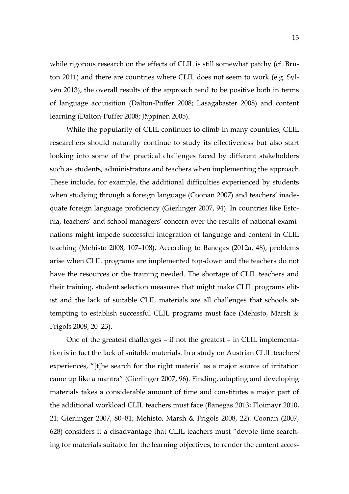while rigorous research on the effects of CLIL is still somewhat patchy (cf. Bruton 2011) and there are countries where CLIL does not seem to work (e.g. Sylvén 2013), the overall results of the approach tend to be positive both in terms of language acquisition (Dalton-Puffer 2008; Lasagabaster 2008) and content learning (Dalton-Puffer 2008; Jäppinen 2005).

While the popularity of CLIL continues to climb in many countries, CLIL researchers should naturally continue to study its effectiveness but also start looking into some of the practical challenges faced by different stakeholders such as students, administrators and teachers when implementing the approach. These include, for example, the additional difficulties experienced by students when studying through a foreign language (Coonan 2007) and teachers' inadequate foreign language proficiency (Gierlinger 2007, 94). In countries like Estonia, teachers' and school managers' concern over the results of national examinations might impede successful integration of language and content in CLIL teaching (Mehisto 2008, 107–108). According to Banegas (2012a, 48), problems arise when CLIL programs are implemented top-down and the teachers do not have the resources or the training needed. The shortage of CLIL teachers and their training, student selection measures that might make CLIL programs elitist and the lack of suitable CLIL materials are all challenges that schools attempting to establish successful CLIL programs must face (Mehisto, Marsh & Frigols 2008, 20–23).

One of the greatest challenges – if not the greatest – in CLIL implementation is in fact the lack of suitable materials. In a study on Austrian CLIL teachers' experiences, "[t]he search for the right material as a major source of irritation came up like a mantra" (Gierlinger 2007, 96). Finding, adapting and developing materials takes a considerable amount of time and constitutes a major part of the additional workload CLIL teachers must face (Banegas 2013; Floimayr 2010, 21; Gierlinger 2007, 80–81; Mehisto, Marsh & Frigols 2008, 22). Coonan (2007, 628) considers it a disadvantage that CLIL teachers must "devote time searching for materials suitable for the learning objectives, to render the content acces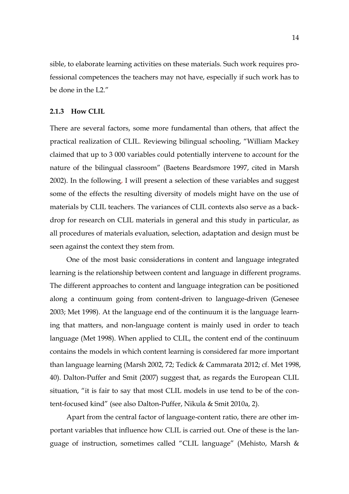sible, to elaborate learning activities on these materials. Such work requires professional competences the teachers may not have, especially if such work has to be done in the L2."

#### <span id="page-13-0"></span>**2.1.3 How CLIL**

There are several factors, some more fundamental than others, that affect the practical realization of CLIL. Reviewing bilingual schooling, "William Mackey claimed that up to 3 000 variables could potentially intervene to account for the nature of the bilingual classroom" (Baetens Beardsmore 1997, cited in Marsh 2002). In the following, I will present a selection of these variables and suggest some of the effects the resulting diversity of models might have on the use of materials by CLIL teachers. The variances of CLIL contexts also serve as a backdrop for research on CLIL materials in general and this study in particular, as all procedures of materials evaluation, selection, adaptation and design must be seen against the context they stem from.

One of the most basic considerations in content and language integrated learning is the relationship between content and language in different programs. The different approaches to content and language integration can be positioned along a continuum going from content-driven to language-driven (Genesee 2003; Met 1998). At the language end of the continuum it is the language learning that matters, and non-language content is mainly used in order to teach language (Met 1998). When applied to CLIL, the content end of the continuum contains the models in which content learning is considered far more important than language learning (Marsh 2002, 72; Tedick & Cammarata 2012; cf. Met 1998, 40). Dalton-Puffer and Smit (2007) suggest that, as regards the European CLIL situation, "it is fair to say that most CLIL models in use tend to be of the content-focused kind" (see also Dalton-Puffer, Nikula & Smit 2010a, 2).

Apart from the central factor of language-content ratio, there are other important variables that influence how CLIL is carried out. One of these is the language of instruction, sometimes called "CLIL language" (Mehisto, Marsh &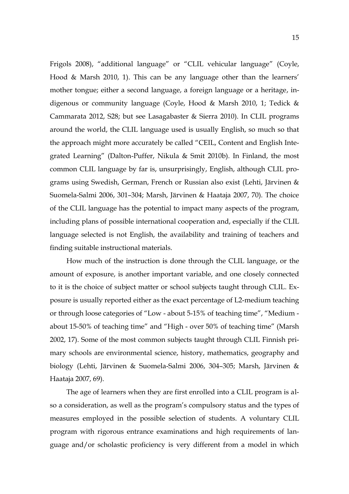Frigols 2008), "additional language" or "CLIL vehicular language" (Coyle, Hood & Marsh 2010, 1). This can be any language other than the learners' mother tongue; either a second language, a foreign language or a heritage, indigenous or community language (Coyle, Hood & Marsh 2010, 1; Tedick & Cammarata 2012, S28; but see Lasagabaster & Sierra 2010). In CLIL programs around the world, the CLIL language used is usually English, so much so that the approach might more accurately be called "CEIL, Content and English Integrated Learning" (Dalton-Puffer, Nikula & Smit 2010b). In Finland, the most common CLIL language by far is, unsurprisingly, English, although CLIL programs using Swedish, German, French or Russian also exist (Lehti, Järvinen & Suomela-Salmi 2006, 301–304; Marsh, Järvinen & Haataja 2007, 70). The choice of the CLIL language has the potential to impact many aspects of the program, including plans of possible international cooperation and, especially if the CLIL language selected is not English, the availability and training of teachers and finding suitable instructional materials.

How much of the instruction is done through the CLIL language, or the amount of exposure, is another important variable, and one closely connected to it is the choice of subject matter or school subjects taught through CLIL. Exposure is usually reported either as the exact percentage of L2-medium teaching or through loose categories of "Low - about 5-15% of teaching time", "Medium about 15-50% of teaching time" and "High - over 50% of teaching time" (Marsh 2002, 17). Some of the most common subjects taught through CLIL Finnish primary schools are environmental science, history, mathematics, geography and biology (Lehti, Järvinen & Suomela-Salmi 2006, 304–305; Marsh, Järvinen & Haataja 2007, 69).

The age of learners when they are first enrolled into a CLIL program is also a consideration, as well as the program's compulsory status and the types of measures employed in the possible selection of students. A voluntary CLIL program with rigorous entrance examinations and high requirements of language and/or scholastic proficiency is very different from a model in which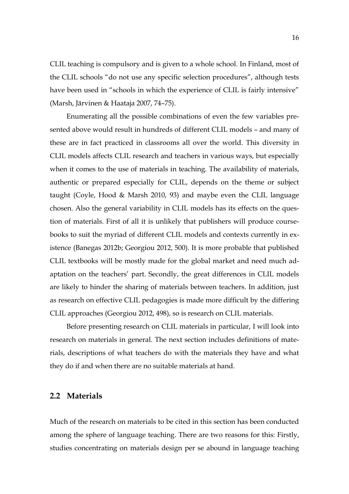CLIL teaching is compulsory and is given to a whole school. In Finland, most of the CLIL schools "do not use any specific selection procedures", although tests have been used in "schools in which the experience of CLIL is fairly intensive" (Marsh, Järvinen & Haataja 2007, 74–75).

Enumerating all the possible combinations of even the few variables presented above would result in hundreds of different CLIL models – and many of these are in fact practiced in classrooms all over the world. This diversity in CLIL models affects CLIL research and teachers in various ways, but especially when it comes to the use of materials in teaching. The availability of materials, authentic or prepared especially for CLIL, depends on the theme or subject taught (Coyle, Hood & Marsh 2010, 93) and maybe even the CLIL language chosen. Also the general variability in CLIL models has its effects on the question of materials. First of all it is unlikely that publishers will produce coursebooks to suit the myriad of different CLIL models and contexts currently in existence (Banegas 2012b; Georgiou 2012, 500). It is more probable that published CLIL textbooks will be mostly made for the global market and need much adaptation on the teachers' part. Secondly, the great differences in CLIL models are likely to hinder the sharing of materials between teachers. In addition, just as research on effective CLIL pedagogies is made more difficult by the differing CLIL approaches (Georgiou 2012, 498), so is research on CLIL materials.

Before presenting research on CLIL materials in particular, I will look into research on materials in general. The next section includes definitions of materials, descriptions of what teachers do with the materials they have and what they do if and when there are no suitable materials at hand.

# <span id="page-15-0"></span>**2.2 Materials**

Much of the research on materials to be cited in this section has been conducted among the sphere of language teaching. There are two reasons for this: Firstly, studies concentrating on materials design per se abound in language teaching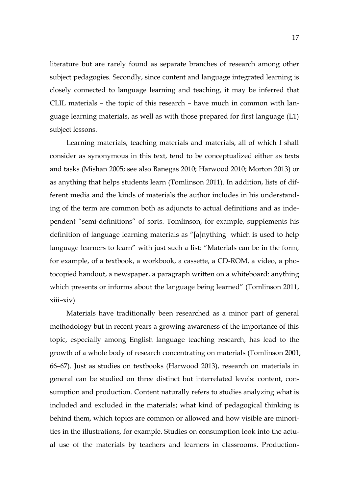literature but are rarely found as separate branches of research among other subject pedagogies. Secondly, since content and language integrated learning is closely connected to language learning and teaching, it may be inferred that CLIL materials – the topic of this research – have much in common with language learning materials, as well as with those prepared for first language (L1) subject lessons.

Learning materials, teaching materials and materials, all of which I shall consider as synonymous in this text, tend to be conceptualized either as texts and tasks (Mishan 2005; see also Banegas 2010; Harwood 2010; Morton 2013) or as anything that helps students learn (Tomlinson 2011). In addition, lists of different media and the kinds of materials the author includes in his understanding of the term are common both as adjuncts to actual definitions and as independent "semi-definitions" of sorts. Tomlinson, for example, supplements his definition of language learning materials as "[a]nything which is used to help language learners to learn" with just such a list: "Materials can be in the form, for example, of a textbook, a workbook, a cassette, a CD-ROM, a video, a photocopied handout, a newspaper, a paragraph written on a whiteboard: anything which presents or informs about the language being learned" (Tomlinson 2011, xiii–xiv).

Materials have traditionally been researched as a minor part of general methodology but in recent years a growing awareness of the importance of this topic, especially among English language teaching research, has lead to the growth of a whole body of research concentrating on materials (Tomlinson 2001, 66–67). Just as studies on textbooks (Harwood 2013), research on materials in general can be studied on three distinct but interrelated levels: content, consumption and production. Content naturally refers to studies analyzing what is included and excluded in the materials; what kind of pedagogical thinking is behind them, which topics are common or allowed and how visible are minorities in the illustrations, for example. Studies on consumption look into the actual use of the materials by teachers and learners in classrooms. Production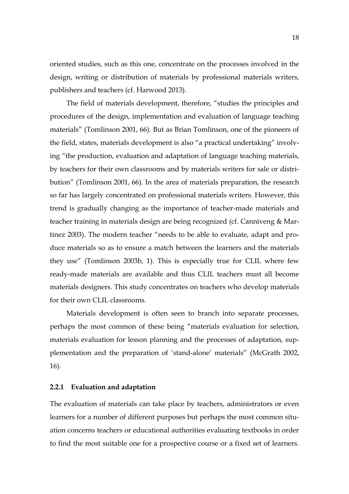oriented studies, such as this one, concentrate on the processes involved in the design, writing or distribution of materials by professional materials writers, publishers and teachers (cf. Harwood 2013).

The field of materials development, therefore, "studies the principles and procedures of the design, implementation and evaluation of language teaching materials" (Tomlinson 2001, 66). But as Brian Tomlinson, one of the pioneers of the field, states, materials development is also "a practical undertaking" involving "the production, evaluation and adaptation of language teaching materials, by teachers for their own classrooms and by materials writers for sale or distribution" (Tomlinson 2001, 66). In the area of materials preparation, the research so far has largely concentrated on professional materials writers. However, this trend is gradually changing as the importance of teacher-made materials and teacher training in materials design are being recognized (cf. Canniveng & Martinez 2003). The modern teacher "needs to be able to evaluate, adapt and produce materials so as to ensure a match between the learners and the materials they use" (Tomlinson 2003b, 1). This is especially true for CLIL where few ready-made materials are available and thus CLIL teachers must all become materials designers. This study concentrates on teachers who develop materials for their own CLIL classrooms.

Materials development is often seen to branch into separate processes, perhaps the most common of these being "materials evaluation for selection, materials evaluation for lesson planning and the processes of adaptation, supplementation and the preparation of 'stand-alone' materials" (McGrath 2002, 16).

#### <span id="page-17-0"></span>**2.2.1 Evaluation and adaptation**

The evaluation of materials can take place by teachers, administrators or even learners for a number of different purposes but perhaps the most common situation concerns teachers or educational authorities evaluating textbooks in order to find the most suitable one for a prospective course or a fixed set of learners.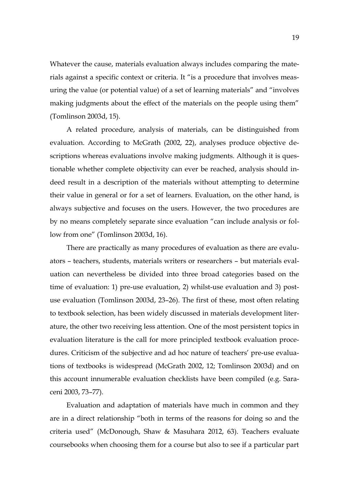Whatever the cause, materials evaluation always includes comparing the materials against a specific context or criteria. It "is a procedure that involves measuring the value (or potential value) of a set of learning materials" and "involves making judgments about the effect of the materials on the people using them" (Tomlinson 2003d, 15).

A related procedure, analysis of materials, can be distinguished from evaluation. According to McGrath (2002, 22), analyses produce objective descriptions whereas evaluations involve making judgments. Although it is questionable whether complete objectivity can ever be reached, analysis should indeed result in a description of the materials without attempting to determine their value in general or for a set of learners. Evaluation, on the other hand, is always subjective and focuses on the users. However, the two procedures are by no means completely separate since evaluation "can include analysis or follow from one" (Tomlinson 2003d, 16).

There are practically as many procedures of evaluation as there are evaluators – teachers, students, materials writers or researchers – but materials evaluation can nevertheless be divided into three broad categories based on the time of evaluation: 1) pre-use evaluation, 2) whilst-use evaluation and 3) postuse evaluation (Tomlinson 2003d, 23–26). The first of these, most often relating to textbook selection, has been widely discussed in materials development literature, the other two receiving less attention. One of the most persistent topics in evaluation literature is the call for more principled textbook evaluation procedures. Criticism of the subjective and ad hoc nature of teachers' pre-use evaluations of textbooks is widespread (McGrath 2002, 12; Tomlinson 2003d) and on this account innumerable evaluation checklists have been compiled (e.g. Saraceni 2003, 73–77).

Evaluation and adaptation of materials have much in common and they are in a direct relationship "both in terms of the reasons for doing so and the criteria used" (McDonough, Shaw & Masuhara 2012, 63). Teachers evaluate coursebooks when choosing them for a course but also to see if a particular part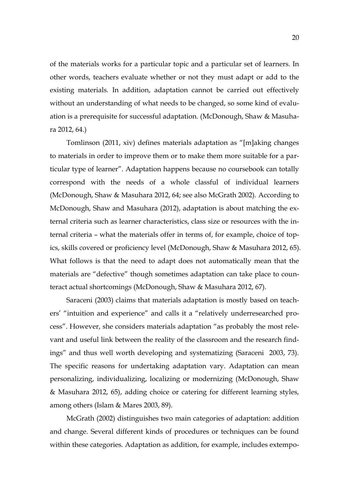of the materials works for a particular topic and a particular set of learners. In other words, teachers evaluate whether or not they must adapt or add to the existing materials. In addition, adaptation cannot be carried out effectively without an understanding of what needs to be changed, so some kind of evaluation is a prerequisite for successful adaptation. (McDonough, Shaw & Masuhara 2012, 64.)

Tomlinson (2011, xiv) defines materials adaptation as "[m]aking changes to materials in order to improve them or to make them more suitable for a particular type of learner". Adaptation happens because no coursebook can totally correspond with the needs of a whole classful of individual learners (McDonough, Shaw & Masuhara 2012, 64; see also McGrath 2002). According to McDonough, Shaw and Masuhara (2012), adaptation is about matching the external criteria such as learner characteristics, class size or resources with the internal criteria – what the materials offer in terms of, for example, choice of topics, skills covered or proficiency level (McDonough, Shaw & Masuhara 2012, 65). What follows is that the need to adapt does not automatically mean that the materials are "defective" though sometimes adaptation can take place to counteract actual shortcomings (McDonough, Shaw & Masuhara 2012, 67).

Saraceni (2003) claims that materials adaptation is mostly based on teachers' "intuition and experience" and calls it a "relatively underresearched process". However, she considers materials adaptation "as probably the most relevant and useful link between the reality of the classroom and the research findings" and thus well worth developing and systematizing (Saraceni 2003, 73). The specific reasons for undertaking adaptation vary. Adaptation can mean personalizing, individualizing, localizing or modernizing (McDonough, Shaw & Masuhara 2012, 65), adding choice or catering for different learning styles, among others (Islam & Mares 2003, 89).

McGrath (2002) distinguishes two main categories of adaptation: addition and change. Several different kinds of procedures or techniques can be found within these categories. Adaptation as addition, for example, includes extempo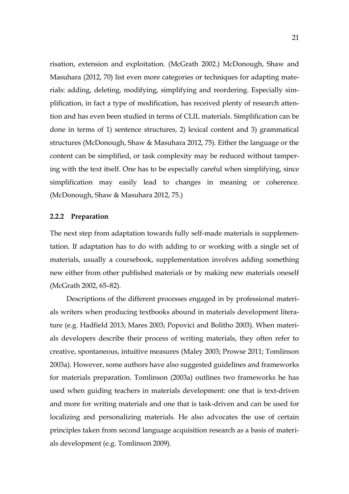risation, extension and exploitation. (McGrath 2002.) McDonough, Shaw and Masuhara (2012, 70) list even more categories or techniques for adapting materials: adding, deleting, modifying, simplifying and reordering. Especially simplification, in fact a type of modification, has received plenty of research attention and has even been studied in terms of CLIL materials. Simplification can be done in terms of 1) sentence structures, 2) lexical content and 3) grammatical structures (McDonough, Shaw & Masuhara 2012, 75). Either the language or the content can be simplified, or task complexity may be reduced without tampering with the text itself. One has to be especially careful when simplifying, since simplification may easily lead to changes in meaning or coherence. (McDonough, Shaw & Masuhara 2012, 75.)

#### <span id="page-20-0"></span>**2.2.2 Preparation**

The next step from adaptation towards fully self-made materials is supplementation. If adaptation has to do with adding to or working with a single set of materials, usually a coursebook, supplementation involves adding something new either from other published materials or by making new materials oneself (McGrath 2002, 65–82).

Descriptions of the different processes engaged in by professional materials writers when producing textbooks abound in materials development literature (e.g. Hadfield 2013; Mares 2003; Popovici and Bolitho 2003). When materials developers describe their process of writing materials, they often refer to creative, spontaneous, intuitive measures (Maley 2003; Prowse 2011; Tomlinson 2003a). However, some authors have also suggested guidelines and frameworks for materials preparation. Tomlinson (2003a) outlines two frameworks he has used when guiding teachers in materials development: one that is text-driven and more for writing materials and one that is task-driven and can be used for localizing and personalizing materials. He also advocates the use of certain principles taken from second language acquisition research as a basis of materials development (e.g. Tomlinson 2009).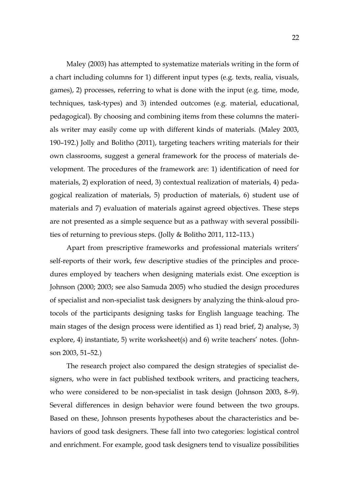Maley (2003) has attempted to systematize materials writing in the form of a chart including columns for 1) different input types (e.g. texts, realia, visuals, games), 2) processes, referring to what is done with the input (e.g. time, mode, techniques, task-types) and 3) intended outcomes (e.g. material, educational, pedagogical). By choosing and combining items from these columns the materials writer may easily come up with different kinds of materials. (Maley 2003, 190–192.) Jolly and Bolitho (2011), targeting teachers writing materials for their own classrooms, suggest a general framework for the process of materials development. The procedures of the framework are: 1) identification of need for materials, 2) exploration of need, 3) contextual realization of materials, 4) pedagogical realization of materials, 5) production of materials, 6) student use of materials and 7) evaluation of materials against agreed objectives. These steps are not presented as a simple sequence but as a pathway with several possibilities of returning to previous steps. (Jolly & Bolitho 2011, 112–113.)

Apart from prescriptive frameworks and professional materials writers' self-reports of their work, few descriptive studies of the principles and procedures employed by teachers when designing materials exist. One exception is Johnson (2000; 2003; see also Samuda 2005) who studied the design procedures of specialist and non-specialist task designers by analyzing the think-aloud protocols of the participants designing tasks for English language teaching. The main stages of the design process were identified as 1) read brief, 2) analyse, 3) explore, 4) instantiate, 5) write worksheet(s) and 6) write teachers' notes. (Johnson 2003, 51–52.)

The research project also compared the design strategies of specialist designers, who were in fact published textbook writers, and practicing teachers, who were considered to be non-specialist in task design (Johnson 2003, 8–9). Several differences in design behavior were found between the two groups. Based on these, Johnson presents hypotheses about the characteristics and behaviors of good task designers. These fall into two categories: logistical control and enrichment. For example, good task designers tend to visualize possibilities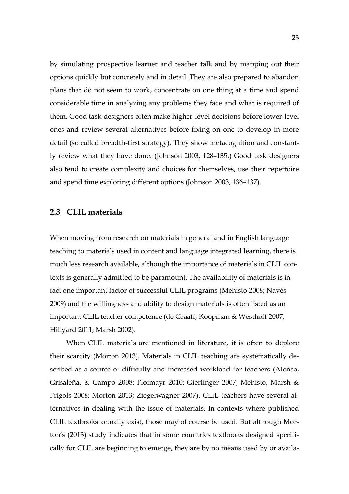by simulating prospective learner and teacher talk and by mapping out their options quickly but concretely and in detail. They are also prepared to abandon plans that do not seem to work, concentrate on one thing at a time and spend considerable time in analyzing any problems they face and what is required of them. Good task designers often make higher-level decisions before lower-level ones and review several alternatives before fixing on one to develop in more detail (so called breadth-first strategy). They show metacognition and constantly review what they have done. (Johnson 2003, 128–135.) Good task designers also tend to create complexity and choices for themselves, use their repertoire and spend time exploring different options (Johnson 2003, 136–137).

### <span id="page-22-0"></span>**2.3 CLIL materials**

When moving from research on materials in general and in English language teaching to materials used in content and language integrated learning, there is much less research available, although the importance of materials in CLIL contexts is generally admitted to be paramount. The availability of materials is in fact one important factor of successful CLIL programs (Mehisto 2008; Navés 2009) and the willingness and ability to design materials is often listed as an important CLIL teacher competence (de Graaff, Koopman & Westhoff 2007; Hillyard 2011; Marsh 2002).

When CLIL materials are mentioned in literature, it is often to deplore their scarcity (Morton 2013). Materials in CLIL teaching are systematically described as a source of difficulty and increased workload for teachers (Alonso, Grisaleña, & Campo 2008; Floimayr 2010; Gierlinger 2007; Mehisto, Marsh & Frigols 2008; Morton 2013; Ziegelwagner 2007). CLIL teachers have several alternatives in dealing with the issue of materials. In contexts where published CLIL textbooks actually exist, those may of course be used. But although Morton's (2013) study indicates that in some countries textbooks designed specifically for CLIL are beginning to emerge, they are by no means used by or availa-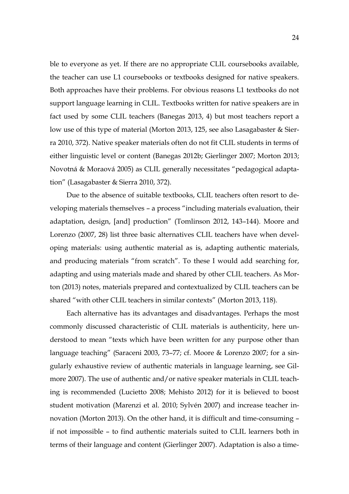ble to everyone as yet. If there are no appropriate CLIL coursebooks available, the teacher can use L1 coursebooks or textbooks designed for native speakers. Both approaches have their problems. For obvious reasons L1 textbooks do not support language learning in CLIL. Textbooks written for native speakers are in fact used by some CLIL teachers (Banegas 2013, 4) but most teachers report a low use of this type of material (Morton 2013, 125, see also Lasagabaster & Sierra 2010, 372). Native speaker materials often do not fit CLIL students in terms of either linguistic level or content (Banegas 2012b; Gierlinger 2007; Morton 2013; Novotná & Moraová 2005) as CLIL generally necessitates "pedagogical adaptation" (Lasagabaster & Sierra 2010, 372).

Due to the absence of suitable textbooks, CLIL teachers often resort to developing materials themselves – a process "including materials evaluation, their adaptation, design, [and] production" (Tomlinson 2012, 143–144). Moore and Lorenzo (2007, 28) list three basic alternatives CLIL teachers have when developing materials: using authentic material as is, adapting authentic materials, and producing materials "from scratch". To these I would add searching for, adapting and using materials made and shared by other CLIL teachers. As Morton (2013) notes, materials prepared and contextualized by CLIL teachers can be shared "with other CLIL teachers in similar contexts" (Morton 2013, 118).

Each alternative has its advantages and disadvantages. Perhaps the most commonly discussed characteristic of CLIL materials is authenticity, here understood to mean "texts which have been written for any purpose other than language teaching" (Saraceni 2003, 73–77; cf. Moore & Lorenzo 2007; for a singularly exhaustive review of authentic materials in language learning, see Gilmore 2007). The use of authentic and/or native speaker materials in CLIL teaching is recommended (Lucietto 2008; Mehisto 2012) for it is believed to boost student motivation (Marenzi et al. 2010; Sylvén 2007) and increase teacher innovation (Morton 2013). On the other hand, it is difficult and time-consuming – if not impossible – to find authentic materials suited to CLIL learners both in terms of their language and content (Gierlinger 2007). Adaptation is also a time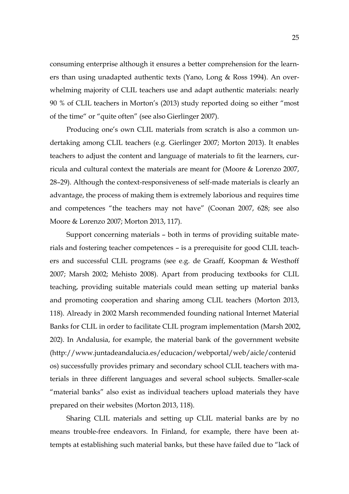consuming enterprise although it ensures a better comprehension for the learners than using unadapted authentic texts (Yano, Long & Ross 1994). An overwhelming majority of CLIL teachers use and adapt authentic materials: nearly 90 % of CLIL teachers in Morton's (2013) study reported doing so either "most of the time" or "quite often" (see also Gierlinger 2007).

Producing one's own CLIL materials from scratch is also a common undertaking among CLIL teachers (e.g. Gierlinger 2007; Morton 2013). It enables teachers to adjust the content and language of materials to fit the learners, curricula and cultural context the materials are meant for (Moore & Lorenzo 2007, 28–29). Although the context-responsiveness of self-made materials is clearly an advantage, the process of making them is extremely laborious and requires time and competences "the teachers may not have" (Coonan 2007, 628; see also Moore & Lorenzo 2007; Morton 2013, 117).

Support concerning materials – both in terms of providing suitable materials and fostering teacher competences – is a prerequisite for good CLIL teachers and successful CLIL programs (see e.g. de Graaff, Koopman & Westhoff 2007; Marsh 2002; Mehisto 2008). Apart from producing textbooks for CLIL teaching, providing suitable materials could mean setting up material banks and promoting cooperation and sharing among CLIL teachers (Morton 2013, 118). Already in 2002 Marsh recommended founding national Internet Material Banks for CLIL in order to facilitate CLIL program implementation (Marsh 2002, 202). In Andalusia, for example, the material bank of the government website (http://www.juntadeandalucia.es/educacion/webportal/web/aicle/contenid os) successfully provides primary and secondary school CLIL teachers with materials in three different languages and several school subjects. Smaller-scale "material banks" also exist as individual teachers upload materials they have prepared on their websites (Morton 2013, 118).

Sharing CLIL materials and setting up CLIL material banks are by no means trouble-free endeavors. In Finland, for example, there have been attempts at establishing such material banks, but these have failed due to "lack of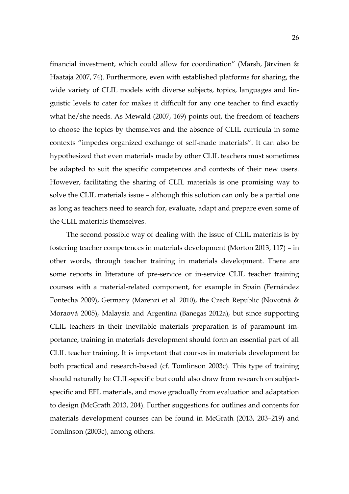financial investment, which could allow for coordination" (Marsh, Järvinen & Haataja 2007, 74). Furthermore, even with established platforms for sharing, the wide variety of CLIL models with diverse subjects, topics, languages and linguistic levels to cater for makes it difficult for any one teacher to find exactly what he/she needs. As Mewald (2007, 169) points out, the freedom of teachers to choose the topics by themselves and the absence of CLIL curricula in some contexts "impedes organized exchange of self-made materials". It can also be hypothesized that even materials made by other CLIL teachers must sometimes be adapted to suit the specific competences and contexts of their new users. However, facilitating the sharing of CLIL materials is one promising way to solve the CLIL materials issue – although this solution can only be a partial one as long as teachers need to search for, evaluate, adapt and prepare even some of the CLIL materials themselves.

The second possible way of dealing with the issue of CLIL materials is by fostering teacher competences in materials development (Morton 2013, 117) – in other words, through teacher training in materials development. There are some reports in literature of pre-service or in-service CLIL teacher training courses with a material-related component, for example in Spain (Fernández Fontecha 2009), Germany (Marenzi et al. 2010), the Czech Republic (Novotná & Moraová 2005), Malaysia and Argentina (Banegas 2012a), but since supporting CLIL teachers in their inevitable materials preparation is of paramount importance, training in materials development should form an essential part of all CLIL teacher training. It is important that courses in materials development be both practical and research-based (cf. Tomlinson 2003c). This type of training should naturally be CLIL-specific but could also draw from research on subjectspecific and EFL materials, and move gradually from evaluation and adaptation to design (McGrath 2013, 204). Further suggestions for outlines and contents for materials development courses can be found in McGrath (2013, 203–219) and Tomlinson (2003c), among others.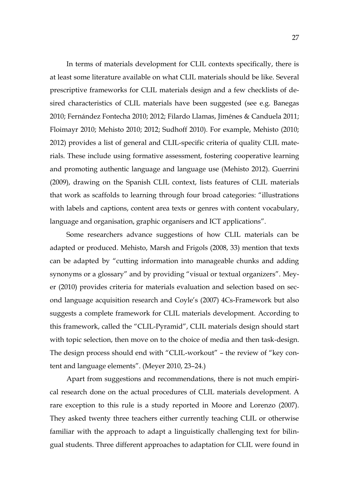In terms of materials development for CLIL contexts specifically, there is at least some literature available on what CLIL materials should be like. Several prescriptive frameworks for CLIL materials design and a few checklists of desired characteristics of CLIL materials have been suggested (see e.g. Banegas 2010; Fernández Fontecha 2010; 2012; Filardo Llamas, Jiménes & Canduela 2011; Floimayr 2010; Mehisto 2010; 2012; Sudhoff 2010). For example, Mehisto (2010; 2012) provides a list of general and CLIL-specific criteria of quality CLIL materials. These include using formative assessment, fostering cooperative learning and promoting authentic language and language use (Mehisto 2012). Guerrini (2009), drawing on the Spanish CLIL context, lists features of CLIL materials that work as scaffolds to learning through four broad categories: "illustrations with labels and captions, content area texts or genres with content vocabulary, language and organisation, graphic organisers and ICT applications".

Some researchers advance suggestions of how CLIL materials can be adapted or produced. Mehisto, Marsh and Frigols (2008, 33) mention that texts can be adapted by "cutting information into manageable chunks and adding synonyms or a glossary" and by providing "visual or textual organizers". Meyer (2010) provides criteria for materials evaluation and selection based on second language acquisition research and Coyle's (2007) 4Cs-Framework but also suggests a complete framework for CLIL materials development. According to this framework, called the "CLIL-Pyramid", CLIL materials design should start with topic selection, then move on to the choice of media and then task-design. The design process should end with "CLIL-workout" – the review of "key content and language elements". (Meyer 2010, 23–24.)

Apart from suggestions and recommendations, there is not much empirical research done on the actual procedures of CLIL materials development. A rare exception to this rule is a study reported in Moore and Lorenzo (2007). They asked twenty three teachers either currently teaching CLIL or otherwise familiar with the approach to adapt a linguistically challenging text for bilingual students. Three different approaches to adaptation for CLIL were found in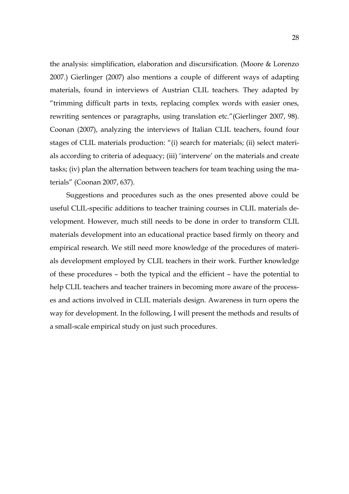the analysis: simplification, elaboration and discursification. (Moore & Lorenzo 2007.) Gierlinger (2007) also mentions a couple of different ways of adapting materials, found in interviews of Austrian CLIL teachers. They adapted by "trimming difficult parts in texts, replacing complex words with easier ones, rewriting sentences or paragraphs, using translation etc."(Gierlinger 2007, 98). Coonan (2007), analyzing the interviews of Italian CLIL teachers, found four stages of CLIL materials production: "(i) search for materials; (ii) select materials according to criteria of adequacy; (iii) 'intervene' on the materials and create tasks; (iv) plan the alternation between teachers for team teaching using the materials" (Coonan 2007, 637).

Suggestions and procedures such as the ones presented above could be useful CLIL-specific additions to teacher training courses in CLIL materials development. However, much still needs to be done in order to transform CLIL materials development into an educational practice based firmly on theory and empirical research. We still need more knowledge of the procedures of materials development employed by CLIL teachers in their work. Further knowledge of these procedures – both the typical and the efficient – have the potential to help CLIL teachers and teacher trainers in becoming more aware of the processes and actions involved in CLIL materials design. Awareness in turn opens the way for development. In the following, I will present the methods and results of a small-scale empirical study on just such procedures.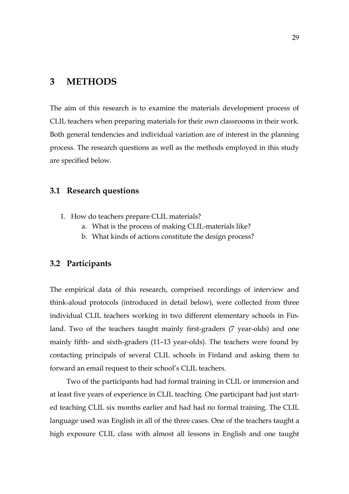# <span id="page-28-0"></span>**3 METHODS**

The aim of this research is to examine the materials development process of CLIL teachers when preparing materials for their own classrooms in their work. Both general tendencies and individual variation are of interest in the planning process. The research questions as well as the methods employed in this study are specified below.

### <span id="page-28-1"></span>**3.1 Research questions**

- 1. How do teachers prepare CLIL materials?
	- a. What is the process of making CLIL-materials like?
	- b. What kinds of actions constitute the design process?

### <span id="page-28-2"></span>**3.2 Participants**

The empirical data of this research, comprised recordings of interview and think-aloud protocols (introduced in detail below), were collected from three individual CLIL teachers working in two different elementary schools in Finland. Two of the teachers taught mainly first-graders (7 year-olds) and one mainly fifth- and sixth-graders (11–13 year-olds). The teachers were found by contacting principals of several CLIL schools in Finland and asking them to forward an email request to their school's CLIL teachers.

Two of the participants had had formal training in CLIL or immersion and at least five years of experience in CLIL teaching. One participant had just started teaching CLIL six months earlier and had had no formal training. The CLIL language used was English in all of the three cases. One of the teachers taught a high exposure CLIL class with almost all lessons in English and one taught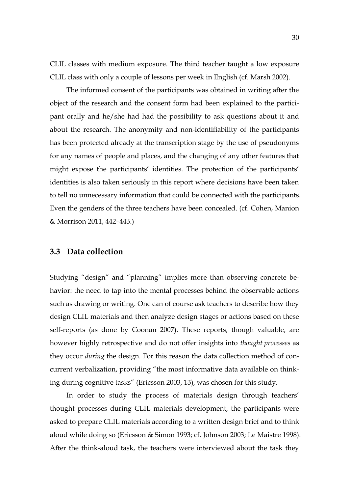CLIL classes with medium exposure. The third teacher taught a low exposure CLIL class with only a couple of lessons per week in English (cf. Marsh 2002).

The informed consent of the participants was obtained in writing after the object of the research and the consent form had been explained to the participant orally and he/she had had the possibility to ask questions about it and about the research. The anonymity and non-identifiability of the participants has been protected already at the transcription stage by the use of pseudonyms for any names of people and places, and the changing of any other features that might expose the participants' identities. The protection of the participants' identities is also taken seriously in this report where decisions have been taken to tell no unnecessary information that could be connected with the participants. Even the genders of the three teachers have been concealed. (cf. Cohen, Manion & Morrison 2011, 442–443.)

### <span id="page-29-0"></span>**3.3 Data collection**

Studying "design" and "planning" implies more than observing concrete behavior: the need to tap into the mental processes behind the observable actions such as drawing or writing. One can of course ask teachers to describe how they design CLIL materials and then analyze design stages or actions based on these self-reports (as done by Coonan 2007). These reports, though valuable, are however highly retrospective and do not offer insights into *thought processes* as they occur *during* the design. For this reason the data collection method of concurrent verbalization, providing "the most informative data available on thinking during cognitive tasks" (Ericsson 2003, 13), was chosen for this study.

In order to study the process of materials design through teachers' thought processes during CLIL materials development, the participants were asked to prepare CLIL materials according to a written design brief and to think aloud while doing so (Ericsson & Simon 1993; cf. Johnson 2003; Le Maistre 1998). After the think-aloud task, the teachers were interviewed about the task they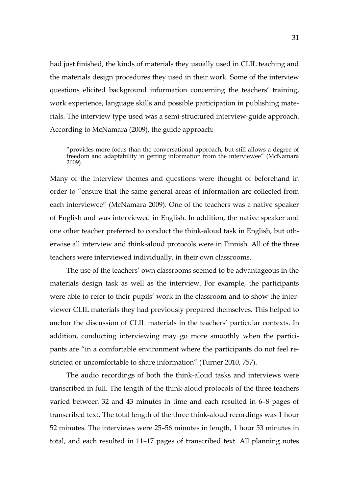had just finished, the kinds of materials they usually used in CLIL teaching and the materials design procedures they used in their work. Some of the interview questions elicited background information concerning the teachers' training, work experience, language skills and possible participation in publishing materials. The interview type used was a semi-structured interview-guide approach. According to McNamara (2009), the guide approach:

"provides more focus than the conversational approach, but still allows a degree of freedom and adaptability in getting information from the interviewee" (McNamara 2009).

Many of the interview themes and questions were thought of beforehand in order to "ensure that the same general areas of information are collected from each interviewee" (McNamara 2009). One of the teachers was a native speaker of English and was interviewed in English. In addition, the native speaker and one other teacher preferred to conduct the think-aloud task in English, but otherwise all interview and think-aloud protocols were in Finnish. All of the three teachers were interviewed individually, in their own classrooms.

The use of the teachers' own classrooms seemed to be advantageous in the materials design task as well as the interview. For example, the participants were able to refer to their pupils' work in the classroom and to show the interviewer CLIL materials they had previously prepared themselves. This helped to anchor the discussion of CLIL materials in the teachers' particular contexts. In addition, conducting interviewing may go more smoothly when the participants are "in a comfortable environment where the participants do not feel restricted or uncomfortable to share information" (Turner 2010, 757).

The audio recordings of both the think-aloud tasks and interviews were transcribed in full. The length of the think-aloud protocols of the three teachers varied between 32 and 43 minutes in time and each resulted in 6–8 pages of transcribed text. The total length of the three think-aloud recordings was 1 hour 52 minutes. The interviews were 25–56 minutes in length, 1 hour 53 minutes in total, and each resulted in 11–17 pages of transcribed text. All planning notes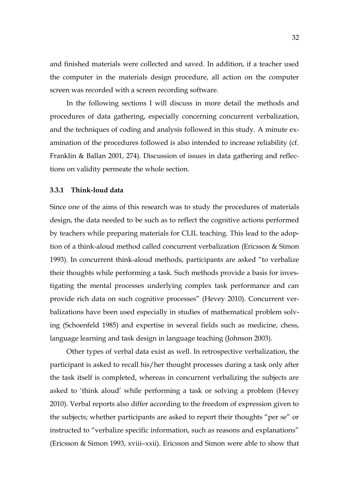and finished materials were collected and saved. In addition, if a teacher used the computer in the materials design procedure, all action on the computer screen was recorded with a screen recording software.

In the following sections I will discuss in more detail the methods and procedures of data gathering, especially concerning concurrent verbalization, and the techniques of coding and analysis followed in this study. A minute examination of the procedures followed is also intended to increase reliability (cf. Franklin & Ballan 2001, 274). Discussion of issues in data gathering and reflections on validity permeate the whole section.

### <span id="page-31-0"></span>**3.3.1 Think-loud data**

Since one of the aims of this research was to study the procedures of materials design, the data needed to be such as to reflect the cognitive actions performed by teachers while preparing materials for CLIL teaching. This lead to the adoption of a think-aloud method called concurrent verbalization (Ericsson & Simon 1993). In concurrent think-aloud methods, participants are asked "to verbalize their thoughts while performing a task. Such methods provide a basis for investigating the mental processes underlying complex task performance and can provide rich data on such cognitive processes" (Hevey 2010). Concurrent verbalizations have been used especially in studies of mathematical problem solving (Schoenfeld 1985) and expertise in several fields such as medicine, chess, language learning and task design in language teaching (Johnson 2003).

Other types of verbal data exist as well. In retrospective verbalization, the participant is asked to recall his/her thought processes during a task only after the task itself is completed, whereas in concurrent verbalizing the subjects are asked to 'think aloud' while performing a task or solving a problem (Hevey 2010). Verbal reports also differ according to the freedom of expression given to the subjects; whether participants are asked to report their thoughts "per se" or instructed to "verbalize specific information, such as reasons and explanations" (Ericsson & Simon 1993, xviii–xxii). Ericsson and Simon were able to show that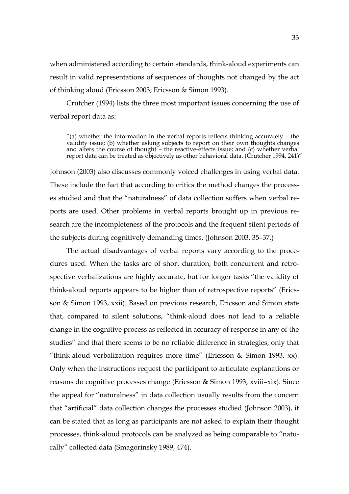when administered according to certain standards, think-aloud experiments can result in valid representations of sequences of thoughts not changed by the act of thinking aloud (Ericsson 2003; Ericsson & Simon 1993).

Crutcher (1994) lists the three most important issues concerning the use of verbal report data as:

 $''(a)$  whether the information in the verbal reports reflects thinking accurately – the validity issue; (b) whether asking subjects to report on their own thoughts changes and alters the course of thought – the reactive-effects issue; and (c) whether verbal report data can be treated as objectively as other behavioral data. (Crutcher 1994, 241)"

Johnson (2003) also discusses commonly voiced challenges in using verbal data. These include the fact that according to critics the method changes the processes studied and that the "naturalness" of data collection suffers when verbal reports are used. Other problems in verbal reports brought up in previous research are the incompleteness of the protocols and the frequent silent periods of the subjects during cognitively demanding times. (Johnson 2003, 35–37.)

The actual disadvantages of verbal reports vary according to the procedures used. When the tasks are of short duration, both concurrent and retrospective verbalizations are highly accurate, but for longer tasks "the validity of think-aloud reports appears to be higher than of retrospective reports" (Ericsson & Simon 1993, xxii). Based on previous research, Ericsson and Simon state that, compared to silent solutions, "think-aloud does not lead to a reliable change in the cognitive process as reflected in accuracy of response in any of the studies" and that there seems to be no reliable difference in strategies, only that "think-aloud verbalization requires more time" (Ericsson & Simon 1993, xx). Only when the instructions request the participant to articulate explanations or reasons do cognitive processes change (Ericsson & Simon 1993, xviii–xix). Since the appeal for "naturalness" in data collection usually results from the concern that "artificial" data collection changes the processes studied (Johnson 2003), it can be stated that as long as participants are not asked to explain their thought processes, think-aloud protocols can be analyzed as being comparable to "naturally" collected data (Smagorinsky 1989, 474).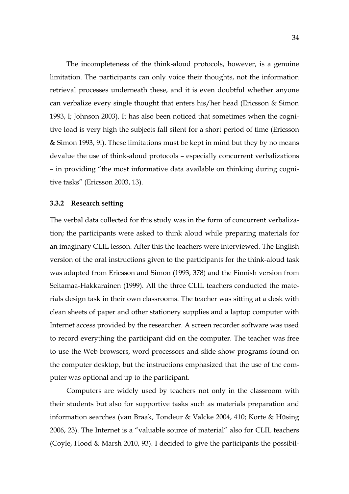The incompleteness of the think-aloud protocols, however, is a genuine limitation. The participants can only voice their thoughts, not the information retrieval processes underneath these, and it is even doubtful whether anyone can verbalize every single thought that enters his/her head (Ericsson & Simon 1993, l; Johnson 2003). It has also been noticed that sometimes when the cognitive load is very high the subjects fall silent for a short period of time (Ericsson & Simon 1993, 9l). These limitations must be kept in mind but they by no means devalue the use of think-aloud protocols – especially concurrent verbalizations – in providing "the most informative data available on thinking during cognitive tasks" (Ericsson 2003, 13).

#### <span id="page-33-0"></span>**3.3.2 Research setting**

The verbal data collected for this study was in the form of concurrent verbalization; the participants were asked to think aloud while preparing materials for an imaginary CLIL lesson. After this the teachers were interviewed. The English version of the oral instructions given to the participants for the think-aloud task was adapted from Ericsson and Simon (1993, 378) and the Finnish version from Seitamaa-Hakkarainen (1999). All the three CLIL teachers conducted the materials design task in their own classrooms. The teacher was sitting at a desk with clean sheets of paper and other stationery supplies and a laptop computer with Internet access provided by the researcher. A screen recorder software was used to record everything the participant did on the computer. The teacher was free to use the Web browsers, word processors and slide show programs found on the computer desktop, but the instructions emphasized that the use of the computer was optional and up to the participant.

Computers are widely used by teachers not only in the classroom with their students but also for supportive tasks such as materials preparation and information searches (van Braak, Tondeur & Valcke 2004, 410; Korte & Hüsing 2006, 23). The Internet is a "valuable source of material" also for CLIL teachers (Coyle, Hood & Marsh 2010, 93). I decided to give the participants the possibil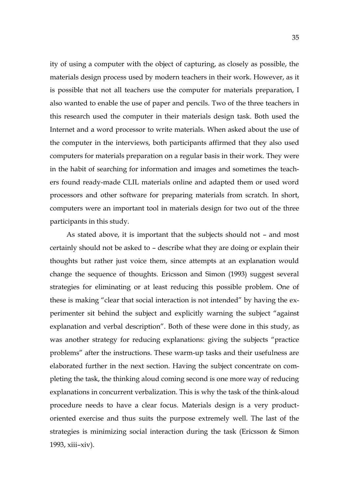ity of using a computer with the object of capturing, as closely as possible, the materials design process used by modern teachers in their work. However, as it is possible that not all teachers use the computer for materials preparation, I also wanted to enable the use of paper and pencils. Two of the three teachers in this research used the computer in their materials design task. Both used the Internet and a word processor to write materials. When asked about the use of the computer in the interviews, both participants affirmed that they also used computers for materials preparation on a regular basis in their work. They were in the habit of searching for information and images and sometimes the teachers found ready-made CLIL materials online and adapted them or used word processors and other software for preparing materials from scratch. In short, computers were an important tool in materials design for two out of the three participants in this study.

As stated above, it is important that the subjects should not – and most certainly should not be asked to – describe what they are doing or explain their thoughts but rather just voice them, since attempts at an explanation would change the sequence of thoughts. Ericsson and Simon (1993) suggest several strategies for eliminating or at least reducing this possible problem. One of these is making "clear that social interaction is not intended" by having the experimenter sit behind the subject and explicitly warning the subject "against explanation and verbal description". Both of these were done in this study, as was another strategy for reducing explanations: giving the subjects "practice problems" after the instructions. These warm-up tasks and their usefulness are elaborated further in the next section. Having the subject concentrate on completing the task, the thinking aloud coming second is one more way of reducing explanations in concurrent verbalization. This is why the task of the think-aloud procedure needs to have a clear focus. Materials design is a very productoriented exercise and thus suits the purpose extremely well. The last of the strategies is minimizing social interaction during the task (Ericsson & Simon 1993, xiii–xiv).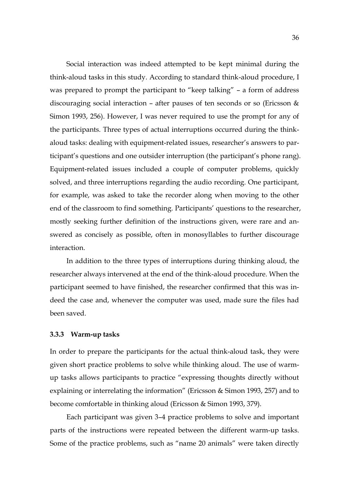Social interaction was indeed attempted to be kept minimal during the think-aloud tasks in this study. According to standard think-aloud procedure, I was prepared to prompt the participant to "keep talking" – a form of address discouraging social interaction – after pauses of ten seconds or so (Ericsson & Simon 1993, 256). However, I was never required to use the prompt for any of the participants. Three types of actual interruptions occurred during the thinkaloud tasks: dealing with equipment-related issues, researcher's answers to participant's questions and one outsider interruption (the participant's phone rang). Equipment-related issues included a couple of computer problems, quickly solved, and three interruptions regarding the audio recording. One participant, for example, was asked to take the recorder along when moving to the other end of the classroom to find something. Participants' questions to the researcher, mostly seeking further definition of the instructions given, were rare and answered as concisely as possible, often in monosyllables to further discourage interaction.

In addition to the three types of interruptions during thinking aloud, the researcher always intervened at the end of the think-aloud procedure. When the participant seemed to have finished, the researcher confirmed that this was indeed the case and, whenever the computer was used, made sure the files had been saved.

#### <span id="page-35-0"></span>**3.3.3 Warm-up tasks**

In order to prepare the participants for the actual think-aloud task, they were given short practice problems to solve while thinking aloud. The use of warmup tasks allows participants to practice "expressing thoughts directly without explaining or interrelating the information" (Ericsson & Simon 1993, 257) and to become comfortable in thinking aloud (Ericsson & Simon 1993, 379).

Each participant was given 3–4 practice problems to solve and important parts of the instructions were repeated between the different warm-up tasks. Some of the practice problems, such as "name 20 animals" were taken directly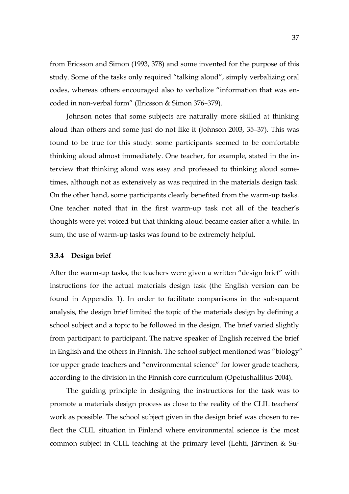from Ericsson and Simon (1993, 378) and some invented for the purpose of this study. Some of the tasks only required "talking aloud", simply verbalizing oral codes, whereas others encouraged also to verbalize "information that was encoded in non-verbal form" (Ericsson & Simon 376–379).

Johnson notes that some subjects are naturally more skilled at thinking aloud than others and some just do not like it (Johnson 2003, 35–37). This was found to be true for this study: some participants seemed to be comfortable thinking aloud almost immediately. One teacher, for example, stated in the interview that thinking aloud was easy and professed to thinking aloud sometimes, although not as extensively as was required in the materials design task. On the other hand, some participants clearly benefited from the warm-up tasks. One teacher noted that in the first warm-up task not all of the teacher's thoughts were yet voiced but that thinking aloud became easier after a while. In sum, the use of warm-up tasks was found to be extremely helpful.

#### <span id="page-36-0"></span>**3.3.4 Design brief**

After the warm-up tasks, the teachers were given a written "design brief" with instructions for the actual materials design task (the English version can be found in Appendix 1). In order to facilitate comparisons in the subsequent analysis, the design brief limited the topic of the materials design by defining a school subject and a topic to be followed in the design. The brief varied slightly from participant to participant. The native speaker of English received the brief in English and the others in Finnish. The school subject mentioned was "biology" for upper grade teachers and "environmental science" for lower grade teachers, according to the division in the Finnish core curriculum (Opetushallitus 2004).

The guiding principle in designing the instructions for the task was to promote a materials design process as close to the reality of the CLIL teachers' work as possible. The school subject given in the design brief was chosen to reflect the CLIL situation in Finland where environmental science is the most common subject in CLIL teaching at the primary level (Lehti, Järvinen & Su-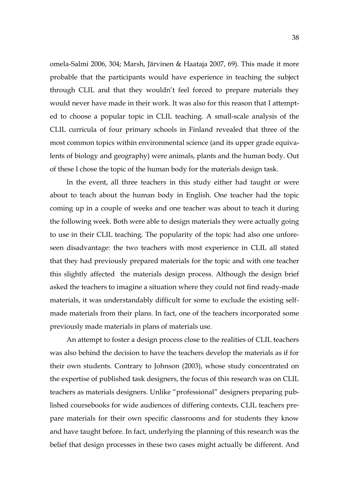omela-Salmi 2006, 304; Marsh, Järvinen & Haataja 2007, 69). This made it more probable that the participants would have experience in teaching the subject through CLIL and that they wouldn't feel forced to prepare materials they would never have made in their work. It was also for this reason that I attempted to choose a popular topic in CLIL teaching. A small-scale analysis of the CLIL curricula of four primary schools in Finland revealed that three of the most common topics within environmental science (and its upper grade equivalents of biology and geography) were animals, plants and the human body. Out of these I chose the topic of the human body for the materials design task.

In the event, all three teachers in this study either had taught or were about to teach about the human body in English. One teacher had the topic coming up in a couple of weeks and one teacher was about to teach it during the following week. Both were able to design materials they were actually going to use in their CLIL teaching. The popularity of the topic had also one unforeseen disadvantage: the two teachers with most experience in CLIL all stated that they had previously prepared materials for the topic and with one teacher this slightly affected the materials design process. Although the design brief asked the teachers to imagine a situation where they could not find ready-made materials, it was understandably difficult for some to exclude the existing selfmade materials from their plans. In fact, one of the teachers incorporated some previously made materials in plans of materials use.

An attempt to foster a design process close to the realities of CLIL teachers was also behind the decision to have the teachers develop the materials as if for their own students. Contrary to Johnson (2003), whose study concentrated on the expertise of published task designers, the focus of this research was on CLIL teachers as materials designers. Unlike "professional" designers preparing published coursebooks for wide audiences of differing contexts, CLIL teachers prepare materials for their own specific classrooms and for students they know and have taught before. In fact, underlying the planning of this research was the belief that design processes in these two cases might actually be different. And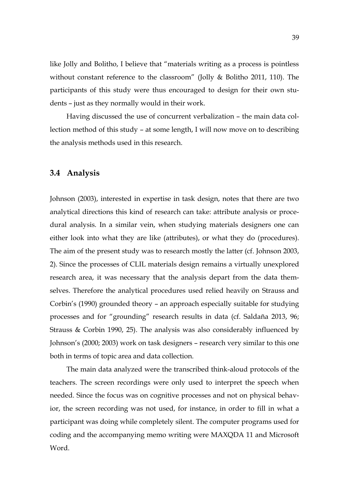like Jolly and Bolitho, I believe that "materials writing as a process is pointless without constant reference to the classroom" (Jolly & Bolitho 2011, 110). The participants of this study were thus encouraged to design for their own students – just as they normally would in their work.

Having discussed the use of concurrent verbalization – the main data collection method of this study – at some length, I will now move on to describing the analysis methods used in this research.

### <span id="page-38-0"></span>**3.4 Analysis**

Johnson (2003), interested in expertise in task design, notes that there are two analytical directions this kind of research can take: attribute analysis or procedural analysis. In a similar vein, when studying materials designers one can either look into what they are like (attributes), or what they do (procedures). The aim of the present study was to research mostly the latter (cf. Johnson 2003, 2). Since the processes of CLIL materials design remains a virtually unexplored research area, it was necessary that the analysis depart from the data themselves. Therefore the analytical procedures used relied heavily on Strauss and Corbin's (1990) grounded theory – an approach especially suitable for studying processes and for "grounding" research results in data (cf. Saldaña 2013, 96; Strauss & Corbin 1990, 25). The analysis was also considerably influenced by Johnson's (2000; 2003) work on task designers – research very similar to this one both in terms of topic area and data collection.

The main data analyzed were the transcribed think-aloud protocols of the teachers. The screen recordings were only used to interpret the speech when needed. Since the focus was on cognitive processes and not on physical behavior, the screen recording was not used, for instance, in order to fill in what a participant was doing while completely silent. The computer programs used for coding and the accompanying memo writing were MAXQDA 11 and Microsoft Word.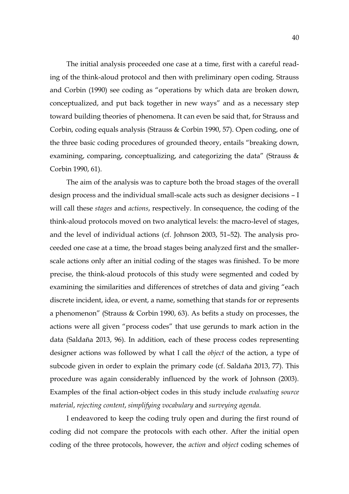The initial analysis proceeded one case at a time, first with a careful reading of the think-aloud protocol and then with preliminary open coding. Strauss and Corbin (1990) see coding as "operations by which data are broken down, conceptualized, and put back together in new ways" and as a necessary step toward building theories of phenomena. It can even be said that, for Strauss and Corbin, coding equals analysis (Strauss & Corbin 1990, 57). Open coding, one of the three basic coding procedures of grounded theory, entails "breaking down, examining, comparing, conceptualizing, and categorizing the data" (Strauss & Corbin 1990, 61).

The aim of the analysis was to capture both the broad stages of the overall design process and the individual small-scale acts such as designer decisions – I will call these *stages* and *actions*, respectively. In consequence, the coding of the think-aloud protocols moved on two analytical levels: the macro-level of stages, and the level of individual actions (cf. Johnson 2003, 51–52). The analysis proceeded one case at a time, the broad stages being analyzed first and the smallerscale actions only after an initial coding of the stages was finished. To be more precise, the think-aloud protocols of this study were segmented and coded by examining the similarities and differences of stretches of data and giving "each discrete incident, idea, or event, a name, something that stands for or represents a phenomenon" (Strauss & Corbin 1990, 63). As befits a study on processes, the actions were all given "process codes" that use gerunds to mark action in the data (Saldaña 2013, 96). In addition, each of these process codes representing designer actions was followed by what I call the *object* of the action, a type of subcode given in order to explain the primary code (cf. Saldaña 2013, 77). This procedure was again considerably influenced by the work of Johnson (2003). Examples of the final action-object codes in this study include *evaluating source material*, *rejecting content*, *simplifying vocabulary* and *surveying agenda*.

I endeavored to keep the coding truly open and during the first round of coding did not compare the protocols with each other. After the initial open coding of the three protocols, however, the *action* and *object* coding schemes of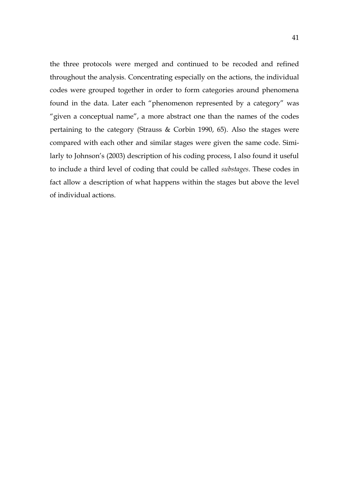the three protocols were merged and continued to be recoded and refined throughout the analysis. Concentrating especially on the actions, the individual codes were grouped together in order to form categories around phenomena found in the data. Later each "phenomenon represented by a category" was "given a conceptual name", a more abstract one than the names of the codes pertaining to the category (Strauss & Corbin 1990, 65). Also the stages were compared with each other and similar stages were given the same code. Similarly to Johnson's (2003) description of his coding process, I also found it useful to include a third level of coding that could be called *substages*. These codes in fact allow a description of what happens within the stages but above the level of individual actions.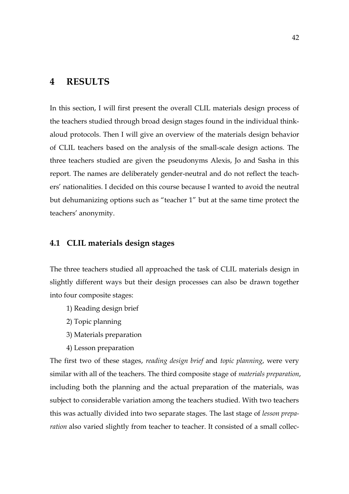# <span id="page-41-0"></span>**4 RESULTS**

In this section, I will first present the overall CLIL materials design process of the teachers studied through broad design stages found in the individual thinkaloud protocols. Then I will give an overview of the materials design behavior of CLIL teachers based on the analysis of the small-scale design actions. The three teachers studied are given the pseudonyms Alexis, Jo and Sasha in this report. The names are deliberately gender-neutral and do not reflect the teachers' nationalities. I decided on this course because I wanted to avoid the neutral but dehumanizing options such as "teacher 1" but at the same time protect the teachers' anonymity.

### <span id="page-41-1"></span>**4.1 CLIL materials design stages**

The three teachers studied all approached the task of CLIL materials design in slightly different ways but their design processes can also be drawn together into four composite stages:

- 1) Reading design brief
- 2) Topic planning
- 3) Materials preparation
- 4) Lesson preparation

The first two of these stages, *reading design brief* and *topic planning*, were very similar with all of the teachers. The third composite stage of *materials preparation*, including both the planning and the actual preparation of the materials, was subject to considerable variation among the teachers studied. With two teachers this was actually divided into two separate stages. The last stage of *lesson preparation* also varied slightly from teacher to teacher. It consisted of a small collec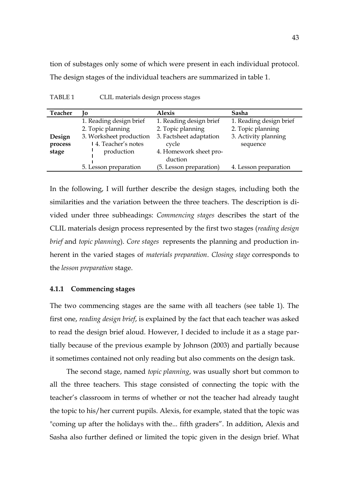tion of substages only some of which were present in each individual protocol. The design stages of the individual teachers are summarized in table 1.

| <b>Teacher</b> | Ιo                      | <b>Alexis</b>           | Sasha                   |
|----------------|-------------------------|-------------------------|-------------------------|
|                | 1. Reading design brief | 1. Reading design brief | 1. Reading design brief |
|                | 2. Topic planning       | 2. Topic planning       | 2. Topic planning       |
| Design         | 3. Worksheet production | 3. Factsheet adaptation | 3. Activity planning    |
| process        | 14. Teacher's notes     | cycle                   | sequence                |
| stage          | production              | 4. Homework sheet pro-  |                         |
|                |                         | duction                 |                         |
|                | 5. Lesson preparation   | (5. Lesson preparation) | 4. Lesson preparation   |

<span id="page-42-0"></span>TABLE 1 CLIL materials design process stages

In the following, I will further describe the design stages, including both the similarities and the variation between the three teachers. The description is divided under three subheadings: *Commencing stages* describes the start of the CLIL materials design process represented by the first two stages (*reading design brief* and *topic planning*). *Core stages* represents the planning and production inherent in the varied stages of *materials preparation*. *Closing stage* corresponds to the *lesson preparation* stage.

#### <span id="page-42-1"></span>**4.1.1 Commencing stages**

The two commencing stages are the same with all teachers (see table 1). The first one, *reading design brief*, is explained by the fact that each teacher was asked to read the design brief aloud. However, I decided to include it as a stage partially because of the previous example by Johnson (2003) and partially because it sometimes contained not only reading but also comments on the design task.

The second stage, named *topic planning*, was usually short but common to all the three teachers. This stage consisted of connecting the topic with the teacher's classroom in terms of whether or not the teacher had already taught the topic to his/her current pupils. Alexis, for example, stated that the topic was "coming up after the holidays with the... fifth graders". In addition, Alexis and Sasha also further defined or limited the topic given in the design brief. What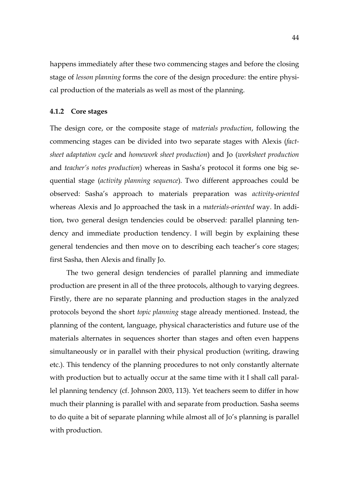happens immediately after these two commencing stages and before the closing stage of *lesson planning* forms the core of the design procedure: the entire physical production of the materials as well as most of the planning.

#### <span id="page-43-0"></span>**4.1.2 Core stages**

The design core, or the composite stage of *materials production*, following the commencing stages can be divided into two separate stages with Alexis (*factsheet adaptation cycle* and *homework sheet production*) and Jo (*worksheet production*  and *teacher's notes production*) whereas in Sasha's protocol it forms one big sequential stage (*activity planning sequence*)*.* Two different approaches could be observed: Sasha's approach to materials preparation was *activity-oriented*  whereas Alexis and Jo approached the task in a *materials-oriented* way. In addition, two general design tendencies could be observed: parallel planning tendency and immediate production tendency. I will begin by explaining these general tendencies and then move on to describing each teacher's core stages; first Sasha, then Alexis and finally Jo.

The two general design tendencies of parallel planning and immediate production are present in all of the three protocols, although to varying degrees. Firstly, there are no separate planning and production stages in the analyzed protocols beyond the short *topic planning* stage already mentioned. Instead, the planning of the content, language, physical characteristics and future use of the materials alternates in sequences shorter than stages and often even happens simultaneously or in parallel with their physical production (writing, drawing etc.). This tendency of the planning procedures to not only constantly alternate with production but to actually occur at the same time with it I shall call parallel planning tendency (cf. Johnson 2003, 113). Yet teachers seem to differ in how much their planning is parallel with and separate from production. Sasha seems to do quite a bit of separate planning while almost all of Jo's planning is parallel with production.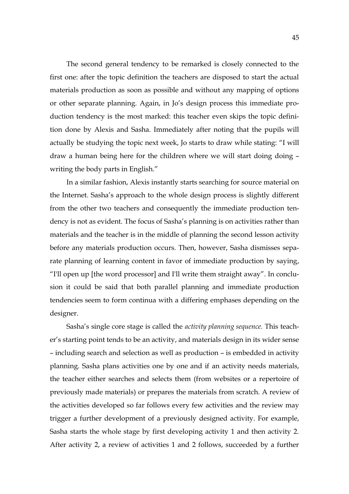The second general tendency to be remarked is closely connected to the first one: after the topic definition the teachers are disposed to start the actual materials production as soon as possible and without any mapping of options or other separate planning. Again, in Jo's design process this immediate production tendency is the most marked: this teacher even skips the topic definition done by Alexis and Sasha. Immediately after noting that the pupils will actually be studying the topic next week, Jo starts to draw while stating: "I will draw a human being here for the children where we will start doing doing – writing the body parts in English."

In a similar fashion, Alexis instantly starts searching for source material on the Internet. Sasha's approach to the whole design process is slightly different from the other two teachers and consequently the immediate production tendency is not as evident. The focus of Sasha's planning is on activities rather than materials and the teacher is in the middle of planning the second lesson activity before any materials production occurs. Then, however, Sasha dismisses separate planning of learning content in favor of immediate production by saying, "I'll open up [the word processor] and I'll write them straight away". In conclusion it could be said that both parallel planning and immediate production tendencies seem to form continua with a differing emphases depending on the designer.

Sasha's single core stage is called the *activity planning sequence.* This teacher's starting point tends to be an activity, and materials design in its wider sense – including search and selection as well as production – is embedded in activity planning. Sasha plans activities one by one and if an activity needs materials, the teacher either searches and selects them (from websites or a repertoire of previously made materials) or prepares the materials from scratch. A review of the activities developed so far follows every few activities and the review may trigger a further development of a previously designed activity. For example, Sasha starts the whole stage by first developing activity 1 and then activity 2. After activity 2, a review of activities 1 and 2 follows, succeeded by a further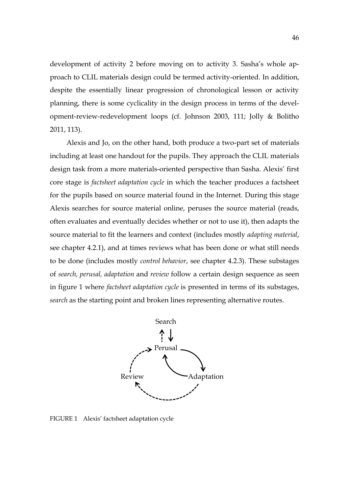development of activity 2 before moving on to activity 3. Sasha's whole approach to CLIL materials design could be termed activity-oriented. In addition, despite the essentially linear progression of chronological lesson or activity planning, there is some cyclicality in the design process in terms of the development-review-redevelopment loops (cf. Johnson 2003, 111; Jolly & Bolitho 2011, 113).

Alexis and Jo, on the other hand, both produce a two-part set of materials including at least one handout for the pupils. They approach the CLIL materials design task from a more materials-oriented perspective than Sasha. Alexis' first core stage is *factsheet adaptation cycle* in which the teacher produces a factsheet for the pupils based on source material found in the Internet. During this stage Alexis searches for source material online, peruses the source material (reads, often evaluates and eventually decides whether or not to use it), then adapts the source material to fit the learners and context (includes mostly *adapting material*, see chapter 4.2.1), and at times reviews what has been done or what still needs to be done (includes mostly *control behavior*, see chapter 4.2.3). These substages of *search, perusal, adaptation* and *review* follow a certain design sequence as seen in figure 1 where *factsheet adaptation cycle* is presented in terms of its substages, *search* as the starting point and broken lines representing alternative routes.



<span id="page-45-0"></span>FIGURE 1 Alexis' factsheet adaptation cycle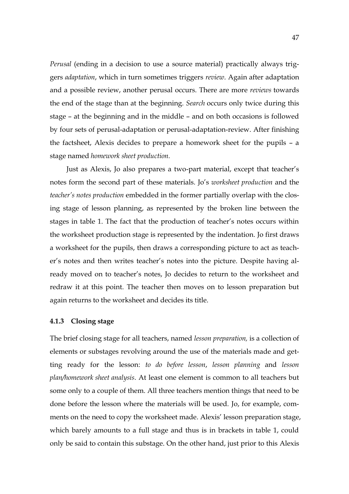*Perusal* (ending in a decision to use a source material) practically always triggers *adaptation*, which in turn sometimes triggers *review*. Again after adaptation and a possible review, another perusal occurs. There are more *reviews* towards the end of the stage than at the beginning. *Search* occurs only twice during this stage – at the beginning and in the middle – and on both occasions is followed by four sets of perusal-adaptation or perusal-adaptation-review. After finishing the factsheet, Alexis decides to prepare a homework sheet for the pupils – a stage named *homework sheet production.*

Just as Alexis, Jo also prepares a two-part material, except that teacher's notes form the second part of these materials. Jo's *worksheet production* and the *teacher's notes production* embedded in the former partially overlap with the closing stage of lesson planning, as represented by the broken line between the stages in table 1. The fact that the production of teacher's notes occurs within the worksheet production stage is represented by the indentation. Jo first draws a worksheet for the pupils, then draws a corresponding picture to act as teacher's notes and then writes teacher's notes into the picture. Despite having already moved on to teacher's notes, Jo decides to return to the worksheet and redraw it at this point. The teacher then moves on to lesson preparation but again returns to the worksheet and decides its title.

#### <span id="page-46-0"></span>**4.1.3 Closing stage**

The brief closing stage for all teachers, named *lesson preparation,* is a collection of elements or substages revolving around the use of the materials made and getting ready for the lesson: *to do before lesson*, *lesson planning* and *lesson plan/homework sheet analysis*. At least one element is common to all teachers but some only to a couple of them. All three teachers mention things that need to be done before the lesson where the materials will be used. Jo, for example, comments on the need to copy the worksheet made. Alexis' lesson preparation stage, which barely amounts to a full stage and thus is in brackets in table 1, could only be said to contain this substage. On the other hand, just prior to this Alexis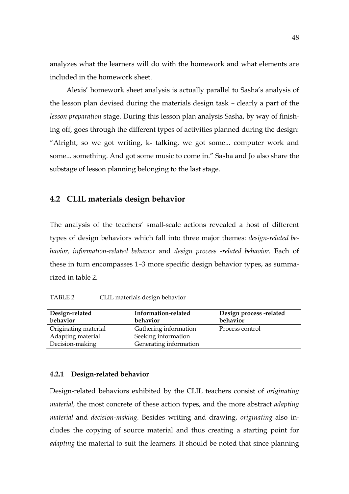analyzes what the learners will do with the homework and what elements are included in the homework sheet.

Alexis' homework sheet analysis is actually parallel to Sasha's analysis of the lesson plan devised during the materials design task – clearly a part of the *lesson preparation* stage. During this lesson plan analysis Sasha, by way of finishing off, goes through the different types of activities planned during the design: "Alright, so we got writing, k- talking, we got some... computer work and some... something. And got some music to come in." Sasha and Jo also share the substage of lesson planning belonging to the last stage.

### <span id="page-47-1"></span>**4.2 CLIL materials design behavior**

The analysis of the teachers' small-scale actions revealed a host of different types of design behaviors which fall into three major themes: *design-related behavior, information-related behavior* and *design process -related behavior.* Each of these in turn encompasses 1–3 more specific design behavior types, as summarized in table 2.

<span id="page-47-0"></span>TABLE 2 CLIL materials design behavior

| Design-related<br>behavior | Information-related<br>behavior | Design process-related<br>behavior |
|----------------------------|---------------------------------|------------------------------------|
| Originating material       | Gathering information           | Process control                    |
| Adapting material          | Seeking information             |                                    |
| Decision-making            | Generating information          |                                    |

#### <span id="page-47-2"></span>**4.2.1 Design-related behavior**

Design-related behaviors exhibited by the CLIL teachers consist of *originating material,* the most concrete of these action types, and the more abstract *adapting material* and *decision-making.* Besides writing and drawing, *originating* also includes the copying of source material and thus creating a starting point for *adapting* the material to suit the learners. It should be noted that since planning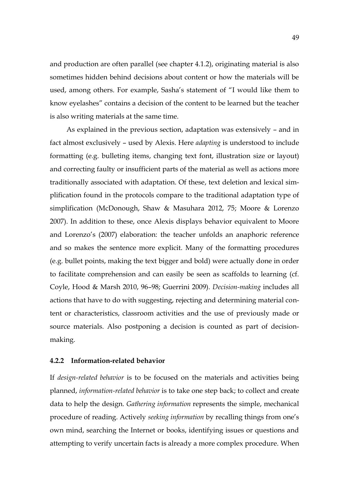and production are often parallel (see chapter 4.1.2), originating material is also sometimes hidden behind decisions about content or how the materials will be used, among others. For example, Sasha's statement of "I would like them to know eyelashes" contains a decision of the content to be learned but the teacher is also writing materials at the same time.

As explained in the previous section, adaptation was extensively – and in fact almost exclusively – used by Alexis. Here *adapting* is understood to include formatting (e.g. bulleting items, changing text font, illustration size or layout) and correcting faulty or insufficient parts of the material as well as actions more traditionally associated with adaptation. Of these, text deletion and lexical simplification found in the protocols compare to the traditional adaptation type of simplification (McDonough, Shaw & Masuhara 2012, 75; Moore & Lorenzo 2007). In addition to these, once Alexis displays behavior equivalent to Moore and Lorenzo's (2007) elaboration: the teacher unfolds an anaphoric reference and so makes the sentence more explicit. Many of the formatting procedures (e.g. bullet points, making the text bigger and bold) were actually done in order to facilitate comprehension and can easily be seen as scaffolds to learning (cf. Coyle, Hood & Marsh 2010, 96–98; Guerrini 2009). *Decision-making* includes all actions that have to do with suggesting, rejecting and determining material content or characteristics, classroom activities and the use of previously made or source materials. Also postponing a decision is counted as part of decisionmaking.

#### <span id="page-48-0"></span>**4.2.2 Information-related behavior**

If *design-related behavior* is to be focused on the materials and activities being planned, *information-related behavior* is to take one step back; to collect and create data to help the design. *Gathering information* represents the simple, mechanical procedure of reading. Actively *seeking information* by recalling things from one's own mind, searching the Internet or books, identifying issues or questions and attempting to verify uncertain facts is already a more complex procedure. When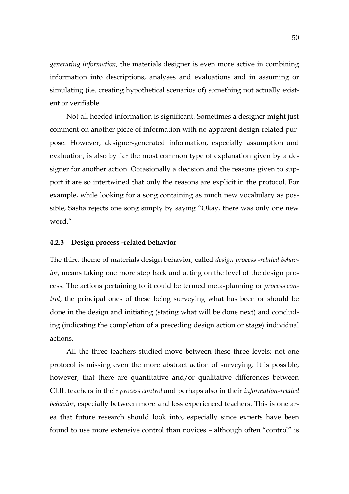*generating information,* the materials designer is even more active in combining information into descriptions, analyses and evaluations and in assuming or simulating (i.e. creating hypothetical scenarios of) something not actually existent or verifiable.

Not all heeded information is significant. Sometimes a designer might just comment on another piece of information with no apparent design-related purpose. However, designer-generated information, especially assumption and evaluation, is also by far the most common type of explanation given by a designer for another action. Occasionally a decision and the reasons given to support it are so intertwined that only the reasons are explicit in the protocol. For example, while looking for a song containing as much new vocabulary as possible, Sasha rejects one song simply by saying "Okay, there was only one new word."

#### <span id="page-49-0"></span>**4.2.3 Design process -related behavior**

The third theme of materials design behavior, called *design process -related behavior*, means taking one more step back and acting on the level of the design process. The actions pertaining to it could be termed meta-planning or *process control*, the principal ones of these being surveying what has been or should be done in the design and initiating (stating what will be done next) and concluding (indicating the completion of a preceding design action or stage) individual actions.

All the three teachers studied move between these three levels; not one protocol is missing even the more abstract action of surveying. It is possible, however, that there are quantitative and/or qualitative differences between CLIL teachers in their *process control* and perhaps also in their *information-related behavior*, especially between more and less experienced teachers. This is one area that future research should look into, especially since experts have been found to use more extensive control than novices – although often "control" is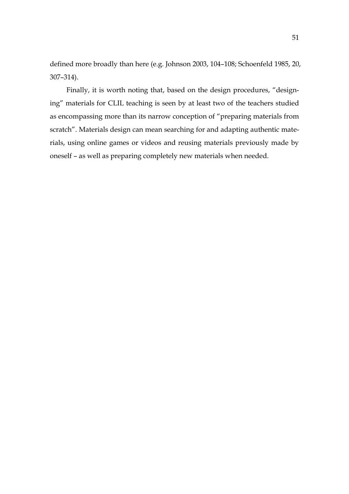defined more broadly than here (e.g. Johnson 2003, 104–108; Schoenfeld 1985, 20, 307–314).

Finally, it is worth noting that, based on the design procedures, "designing" materials for CLIL teaching is seen by at least two of the teachers studied as encompassing more than its narrow conception of "preparing materials from scratch". Materials design can mean searching for and adapting authentic materials, using online games or videos and reusing materials previously made by oneself – as well as preparing completely new materials when needed.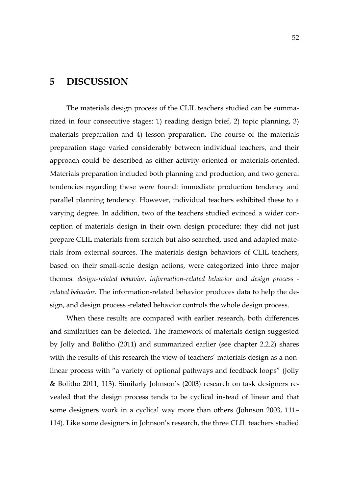# <span id="page-51-0"></span>**5 DISCUSSION**

The materials design process of the CLIL teachers studied can be summarized in four consecutive stages: 1) reading design brief, 2) topic planning, 3) materials preparation and 4) lesson preparation. The course of the materials preparation stage varied considerably between individual teachers, and their approach could be described as either activity-oriented or materials-oriented. Materials preparation included both planning and production, and two general tendencies regarding these were found: immediate production tendency and parallel planning tendency. However, individual teachers exhibited these to a varying degree. In addition, two of the teachers studied evinced a wider conception of materials design in their own design procedure: they did not just prepare CLIL materials from scratch but also searched, used and adapted materials from external sources. The materials design behaviors of CLIL teachers, based on their small-scale design actions, were categorized into three major themes: *design-related behavior, information-related behavior* and *design process related behavior.* The information-related behavior produces data to help the design, and design process -related behavior controls the whole design process.

When these results are compared with earlier research, both differences and similarities can be detected. The framework of materials design suggested by Jolly and Bolitho (2011) and summarized earlier (see chapter 2.2.2) shares with the results of this research the view of teachers' materials design as a nonlinear process with "a variety of optional pathways and feedback loops" (Jolly & Bolitho 2011, 113). Similarly Johnson's (2003) research on task designers revealed that the design process tends to be cyclical instead of linear and that some designers work in a cyclical way more than others (Johnson 2003, 111– 114). Like some designers in Johnson's research, the three CLIL teachers studied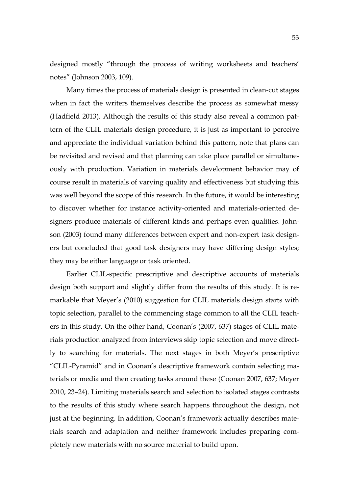designed mostly "through the process of writing worksheets and teachers' notes" (Johnson 2003, 109).

Many times the process of materials design is presented in clean-cut stages when in fact the writers themselves describe the process as somewhat messy (Hadfield 2013). Although the results of this study also reveal a common pattern of the CLIL materials design procedure, it is just as important to perceive and appreciate the individual variation behind this pattern, note that plans can be revisited and revised and that planning can take place parallel or simultaneously with production. Variation in materials development behavior may of course result in materials of varying quality and effectiveness but studying this was well beyond the scope of this research. In the future, it would be interesting to discover whether for instance activity-oriented and materials-oriented designers produce materials of different kinds and perhaps even qualities. Johnson (2003) found many differences between expert and non-expert task designers but concluded that good task designers may have differing design styles; they may be either language or task oriented.

Earlier CLIL-specific prescriptive and descriptive accounts of materials design both support and slightly differ from the results of this study. It is remarkable that Meyer's (2010) suggestion for CLIL materials design starts with topic selection, parallel to the commencing stage common to all the CLIL teachers in this study. On the other hand, Coonan's (2007, 637) stages of CLIL materials production analyzed from interviews skip topic selection and move directly to searching for materials. The next stages in both Meyer's prescriptive "CLIL-Pyramid" and in Coonan's descriptive framework contain selecting materials or media and then creating tasks around these (Coonan 2007, 637; Meyer 2010, 23–24). Limiting materials search and selection to isolated stages contrasts to the results of this study where search happens throughout the design, not just at the beginning. In addition, Coonan's framework actually describes materials search and adaptation and neither framework includes preparing completely new materials with no source material to build upon.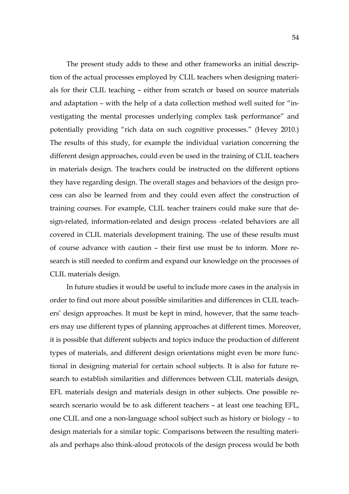The present study adds to these and other frameworks an initial description of the actual processes employed by CLIL teachers when designing materials for their CLIL teaching – either from scratch or based on source materials and adaptation – with the help of a data collection method well suited for "investigating the mental processes underlying complex task performance" and potentially providing "rich data on such cognitive processes." (Hevey 2010.) The results of this study, for example the individual variation concerning the different design approaches, could even be used in the training of CLIL teachers in materials design. The teachers could be instructed on the different options they have regarding design. The overall stages and behaviors of the design process can also be learned from and they could even affect the construction of training courses. For example, CLIL teacher trainers could make sure that design-related, information-related and design process -related behaviors are all covered in CLIL materials development training. The use of these results must of course advance with caution – their first use must be to inform. More research is still needed to confirm and expand our knowledge on the processes of CLIL materials design.

In future studies it would be useful to include more cases in the analysis in order to find out more about possible similarities and differences in CLIL teachers' design approaches. It must be kept in mind, however, that the same teachers may use different types of planning approaches at different times. Moreover, it is possible that different subjects and topics induce the production of different types of materials, and different design orientations might even be more functional in designing material for certain school subjects. It is also for future research to establish similarities and differences between CLIL materials design, EFL materials design and materials design in other subjects. One possible research scenario would be to ask different teachers – at least one teaching EFL, one CLIL and one a non-language school subject such as history or biology – to design materials for a similar topic. Comparisons between the resulting materials and perhaps also think-aloud protocols of the design process would be both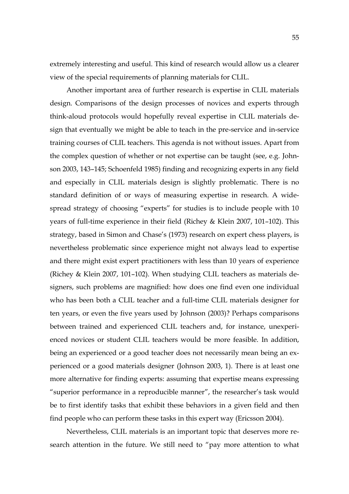extremely interesting and useful. This kind of research would allow us a clearer view of the special requirements of planning materials for CLIL.

Another important area of further research is expertise in CLIL materials design. Comparisons of the design processes of novices and experts through think-aloud protocols would hopefully reveal expertise in CLIL materials design that eventually we might be able to teach in the pre-service and in-service training courses of CLIL teachers. This agenda is not without issues. Apart from the complex question of whether or not expertise can be taught (see, e.g. Johnson 2003, 143–145; Schoenfeld 1985) finding and recognizing experts in any field and especially in CLIL materials design is slightly problematic. There is no standard definition of or ways of measuring expertise in research. A widespread strategy of choosing "experts" for studies is to include people with 10 years of full-time experience in their field (Richey & Klein 2007, 101–102). This strategy, based in Simon and Chase's (1973) research on expert chess players, is nevertheless problematic since experience might not always lead to expertise and there might exist expert practitioners with less than 10 years of experience (Richey & Klein 2007, 101–102). When studying CLIL teachers as materials designers, such problems are magnified: how does one find even one individual who has been both a CLIL teacher and a full-time CLIL materials designer for ten years, or even the five years used by Johnson (2003)? Perhaps comparisons between trained and experienced CLIL teachers and, for instance, unexperienced novices or student CLIL teachers would be more feasible. In addition, being an experienced or a good teacher does not necessarily mean being an experienced or a good materials designer (Johnson 2003, 1). There is at least one more alternative for finding experts: assuming that expertise means expressing "superior performance in a reproducible manner", the researcher's task would be to first identify tasks that exhibit these behaviors in a given field and then find people who can perform these tasks in this expert way (Ericsson 2004).

Nevertheless, CLIL materials is an important topic that deserves more research attention in the future. We still need to "pay more attention to what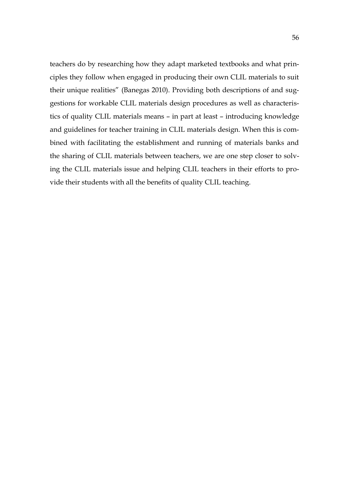teachers do by researching how they adapt marketed textbooks and what principles they follow when engaged in producing their own CLIL materials to suit their unique realities" (Banegas 2010). Providing both descriptions of and suggestions for workable CLIL materials design procedures as well as characteristics of quality CLIL materials means – in part at least – introducing knowledge and guidelines for teacher training in CLIL materials design. When this is combined with facilitating the establishment and running of materials banks and the sharing of CLIL materials between teachers, we are one step closer to solving the CLIL materials issue and helping CLIL teachers in their efforts to provide their students with all the benefits of quality CLIL teaching.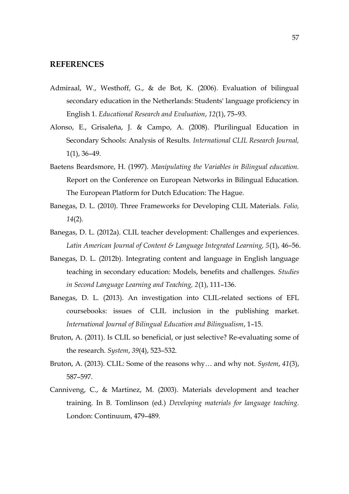# <span id="page-56-0"></span>**REFERENCES**

- Admiraal, W., Westhoff, G., & de Bot, K. (2006). Evaluation of bilingual secondary education in the Netherlands: Students' language proficiency in English 1. *Educational Research and Evaluation*, *12*(1), 75–93.
- Alonso, E., Grisaleña, J. & Campo, A. (2008). Plurilingual Education in Secondary Schools: Analysis of Results. *International CLIL Research Journal,* 1(1), 36–49.
- Baetens Beardsmore, H. (1997). *Manipulating the Variables in Bilingual education.* Report on the Conference on European Networks in Bilingual Education. The European Platform for Dutch Education: The Hague.
- Banegas, D. L. (2010). Three Frameworks for Developing CLIL Materials. *Folio, 14*(2).
- Banegas, D. L. (2012a). CLIL teacher development: Challenges and experiences. *Latin American Journal of Content & Language Integrated Learning, 5*(1), 46–56.
- Banegas, D. L. (2012b). Integrating content and language in English language teaching in secondary education: Models, benefits and challenges. *Studies in Second Language Learning and Teaching, 2*(1), 111–136.
- Banegas, D. L. (2013). An investigation into CLIL-related sections of EFL coursebooks: issues of CLIL inclusion in the publishing market. *International Journal of Bilingual Education and Bilingualism*, 1–15.
- Bruton, A. (2011). Is CLIL so beneficial, or just selective? Re-evaluating some of the research. *System*, *39*(4), 523–532.
- Bruton, A. (2013). CLIL: Some of the reasons why… and why not. *System*, *41*(3), 587–597.
- Canniveng, C., & Martinez, M. (2003). Materials development and teacher training. In B. Tomlinson (ed.) *Developing materials for language teaching.*  London: Continuum, 479–489.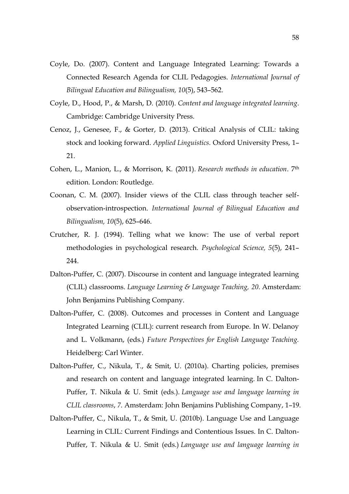- Coyle, Do. (2007). Content and Language Integrated Learning: Towards a Connected Research Agenda for CLIL Pedagogies. *International Journal of Bilingual Education and Bilingualism, 10*(5), 543–562.
- Coyle, D., Hood, P., & Marsh, D. (2010). *Content and language integrated learning*. Cambridge: Cambridge University Press.
- Cenoz, J., Genesee, F., & Gorter, D. (2013). Critical Analysis of CLIL: taking stock and looking forward. *Applied Linguistics.* Oxford University Press, 1– 21.
- Cohen, L., Manion, L., & Morrison, K. (2011). *Research methods in education*. 7th edition. London: Routledge.
- Coonan, C. M. (2007). Insider views of the CLIL class through teacher selfobservation-introspection. *International Journal of Bilingual Education and Bilingualism, 10*(5), 625–646.
- Crutcher, R. J. (1994). Telling what we know: The use of verbal report methodologies in psychological research. *Psychological Science, 5*(5), 241– 244.
- Dalton-Puffer, C. (2007). Discourse in content and language integrated learning (CLIL) classrooms. *Language Learning & Language Teaching, 20*. Amsterdam: John Benjamins Publishing Company.
- Dalton-Puffer, C. (2008). Outcomes and processes in Content and Language Integrated Learning (CLIL): current research from Europe. In W. Delanoy and L. Volkmann, (eds.) *Future Perspectives for English Language Teaching.* Heidelberg: Carl Winter.
- Dalton-Puffer, C., Nikula, T., & Smit, U. (2010a). Charting policies, premises and research on content and language integrated learning. In C. Dalton-Puffer, T. Nikula & U. Smit (eds.). *Language use and language learning in CLIL classrooms*, *7*. Amsterdam: John Benjamins Publishing Company, 1–19.
- Dalton-Puffer, C., Nikula, T., & Smit, U. (2010b). Language Use and Language Learning in CLIL: Current Findings and Contentious Issues. In C. Dalton-Puffer, T. Nikula & U. Smit (eds.) *Language use and language learning in*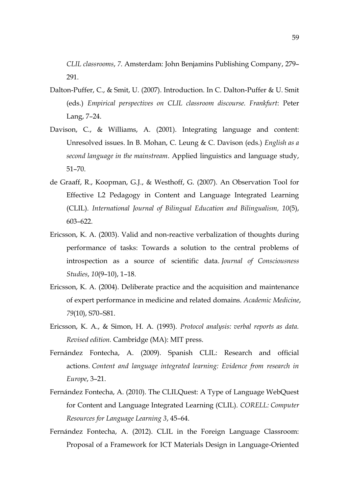*CLIL classrooms*, *7*. Amsterdam: John Benjamins Publishing Company, 279– 291.

- Dalton-Puffer, C., & Smit, U. (2007). Introduction. In C. Dalton-Puffer & U. Smit (eds.) *Empirical perspectives on CLIL classroom discourse. Frankfurt*: Peter Lang, 7–24.
- Davison, C., & Williams, A. (2001). Integrating language and content: Unresolved issues. In B. Mohan, C. Leung & C. Davison (eds.) *English as a second language in the mainstream*. Applied linguistics and language study, 51–70.
- de Graaff, R., Koopman, G.J., & Westhoff, G. (2007). An Observation Tool for Effective L2 Pedagogy in Content and Language Integrated Learning (CLIL). *International Journal of Bilingual Education and Bilingualism, 10*(5), 603–622.
- Ericsson, K. A. (2003). Valid and non-reactive verbalization of thoughts during performance of tasks: Towards a solution to the central problems of introspection as a source of scientific data. *Journal of Consciousness Studies*, *10*(9–10), 1–18.
- Ericsson, K. A. (2004). Deliberate practice and the acquisition and maintenance of expert performance in medicine and related domains. *Academic Medicine*, *79*(10), S70–S81.
- Ericsson, K. A., & Simon, H. A. (1993). *Protocol analysis: verbal reports as data. Revised edition.* Cambridge (MA): MIT press.
- Fernández Fontecha, A. (2009). Spanish CLIL: Research and official actions. *Content and language integrated learning: Evidence from research in Europe*, 3–21.
- Fernández Fontecha, A. (2010). The CLILQuest: A Type of Language WebQuest for Content and Language Integrated Learning (CLIL). *CORELL: Computer Resources for Language Learning 3*, 45–64.
- Fernández Fontecha, A. (2012). CLIL in the Foreign Language Classroom: Proposal of a Framework for ICT Materials Design in Language-Oriented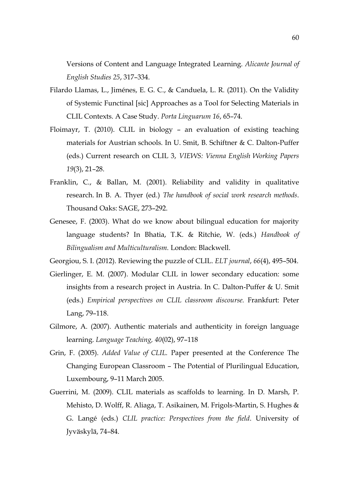Versions of Content and Language Integrated Learning. *Alicante Journal of English Studies 25*, 317–334.

- Filardo Llamas, L., Jiménes, E. G. C., & Canduela, L. R. (2011). On the Validity of Systemic Functinal [sic] Approaches as a Tool for Selecting Materials in CLIL Contexts. A Case Study. *Porta Linguarum 16*, 65–74.
- Floimayr, T. (2010). CLIL in biology an evaluation of existing teaching materials for Austrian schools. In U. Smit, B. Schiftner & C. Dalton-Puffer (eds.) Current research on CLIL 3, *VIEWS: Vienna English Working Papers 19*(3), 21–28.
- Franklin, C., & Ballan, M. (2001). Reliability and validity in qualitative research. In B. A. Thyer (ed.) *The handbook of social work research methods*. Thousand Oaks: SAGE, 273–292.
- Genesee, F. (2003). What do we know about bilingual education for majority language students? In Bhatia, T.K. & Ritchie, W. (eds.) *Handbook of Bilingualism and Multiculturalism.* London: Blackwell.
- Georgiou, S. I. (2012). Reviewing the puzzle of CLIL. *ELT journal*, *66*(4), 495–504.
- Gierlinger, E. M. (2007). Modular CLIL in lower secondary education: some insights from a research project in Austria. In C. Dalton-Puffer & U. Smit (eds.) *Empirical perspectives on CLIL classroom discourse.* Frankfurt: Peter Lang, 79–118.
- Gilmore, A. (2007). Authentic materials and authenticity in foreign language learning. *Language Teaching, 40*(02), 97–118
- Grin, F. (2005). *Added Value of CLIL.* Paper presented at the Conference The Changing European Classroom – The Potential of Plurilingual Education, Luxembourg, 9–11 March 2005.
- Guerrini, M. (2009). CLIL materials as scaffolds to learning. In D. Marsh, P. Mehisto, D. Wolff, R. Aliaga, T. Asikainen, M. Frigols-Martin, S. Hughes & G. Langé (eds.) *CLIL practice: Perspectives from the field*. University of Jyväskylä, 74–84.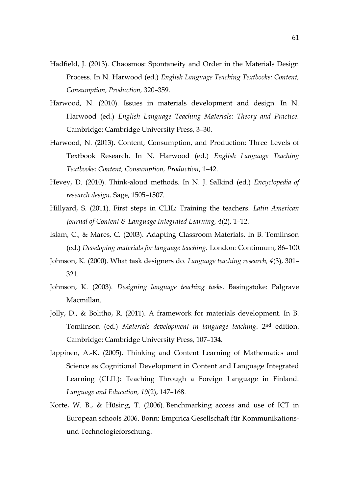- Hadfield, J. (2013). Chaosmos: Spontaneity and Order in the Materials Design Process. In N. Harwood (ed.) *English Language Teaching Textbooks: Content, Consumption, Production,* 320–359.
- Harwood, N. (2010). Issues in materials development and design. In N. Harwood (ed.) *English Language Teaching Materials: Theory and Practice.*  Cambridge: Cambridge University Press, 3–30.
- Harwood, N. (2013). Content, Consumption, and Production: Three Levels of Textbook Research. In N. Harwood (ed.) *English Language Teaching Textbooks: Content, Consumption, Production*, 1–42.
- Hevey, D. (2010). Think-aloud methods. In N. J. Salkind (ed.) *Encyclopedia of research design.* Sage, 1505–1507.
- Hillyard, S. (2011). First steps in CLIL: Training the teachers. *Latin American Journal of Content & Language Integrated Learning, 4*(2), 1–12.
- Islam, C., & Mares, C. (2003). Adapting Classroom Materials. In B. Tomlinson (ed.) *Developing materials for language teaching.* London: Continuum, 86–100.
- Johnson, K. (2000). What task designers do. *Language teaching research, 4*(3), 301– 321.
- Johnson, K. (2003). *Designing language teaching tasks.* Basingstoke: Palgrave Macmillan.
- Jolly, D., & Bolitho, R. (2011). A framework for materials development. In B. Tomlinson (ed.) *Materials development in language teaching*. 2nd edition. Cambridge: Cambridge University Press, 107–134.
- Jäppinen, A.-K. (2005). Thinking and Content Learning of Mathematics and Science as Cognitional Development in Content and Language Integrated Learning (CLIL): Teaching Through a Foreign Language in Finland. *Language and Education, 19*(2), 147–168.
- Korte, W. B., & Hüsing, T. (2006). Benchmarking access and use of ICT in European schools 2006. Bonn: Empirica Gesellschaft für Kommunikationsund Technologieforschung.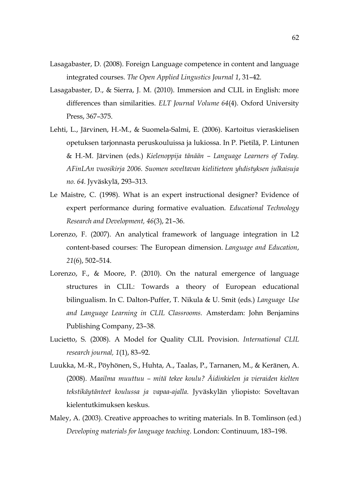- Lasagabaster, D. (2008). Foreign Language competence in content and language integrated courses. *The Open Applied Lingustics Journal 1*, 31–42.
- Lasagabaster, D., & Sierra, J. M. (2010). Immersion and CLIL in English: more differences than similarities. *ELT Journal Volume 64*(4). Oxford University Press, 367–375.
- Lehti, L., Järvinen, H.-M., & Suomela-Salmi, E. (2006). Kartoitus vieraskielisen opetuksen tarjonnasta peruskouluissa ja lukiossa. In P. Pietilä, P. Lintunen & H.-M. Järvinen (eds.) *Kielenoppija tänään – Language Learners of Today. AFinLAn vuosikirja 2006. Suomen soveltavan kielitieteen yhdistyksen julkaisuja no. 64.* Jyväskylä, 293–313.
- Le Maistre, C. (1998). What is an expert instructional designer? Evidence of expert performance during formative evaluation. *Educational Technology Research and Development, 46*(3), 21–36.
- Lorenzo, F. (2007). An analytical framework of language integration in L2 content-based courses: The European dimension. *Language and Education*, *21*(6), 502–514.
- Lorenzo, F., & Moore, P. (2010). On the natural emergence of language structures in CLIL: Towards a theory of European educational bilingualism. In C. Dalton-Puffer, T. Nikula & U. Smit (eds.) *Language Use and Language Learning in CLIL Classrooms.* Amsterdam: John Benjamins Publishing Company, 23–38.
- Lucietto, S. (2008). A Model for Quality CLIL Provision. *International CLIL research journal, 1*(1), 83–92.
- Luukka, M.-R., Pöyhönen, S., Huhta, A., Taalas, P., Tarnanen, M., & Keränen, A. (2008). *Maailma muuttuu – mitä tekee koulu? Äidinkielen ja vieraiden kielten tekstikäytänteet koulussa ja vapaa-ajalla.* Jyväskylän yliopisto: Soveltavan kielentutkimuksen keskus.
- Maley, A. (2003). Creative approaches to writing materials. In B. Tomlinson (ed.) *Developing materials for language teaching*. London: Continuum, 183–198.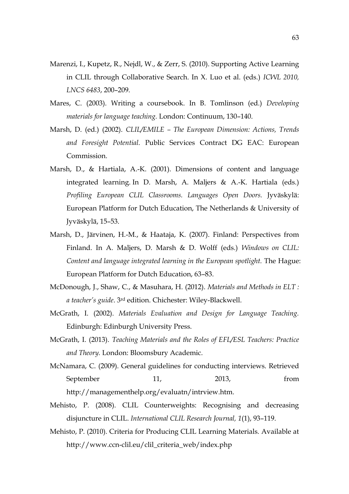- Marenzi, I., Kupetz, R., Nejdl, W., & Zerr, S. (2010). Supporting Active Learning in CLIL through Collaborative Search. In X. Luo et al. (eds.) *ICWL 2010, LNCS 6483*, 200–209.
- Mares, C. (2003). Writing a coursebook. In B. Tomlinson (ed.) *Developing materials for language teaching.* London: Continuum, 130–140.
- Marsh, D. (ed.) (2002). *CLIL/EMILE – The European Dimension: Actions, Trends and Foresight Potential.* Public Services Contract DG EAC: European Commission.
- Marsh, D., & Hartiala, A.-K. (2001). Dimensions of content and language integrated learning. In D. Marsh, A. Maljers & A.-K. Hartiala (eds.) *Profiling European CLIL Classrooms. Languages Open Doors.* Jyväskylä: European Platform for Dutch Education, The Netherlands & University of Jyväskylä, 15–53.
- Marsh, D., Järvinen, H.-M., & Haataja, K. (2007). Finland: Perspectives from Finland. In A. Maljers, D. Marsh & D. Wolff (eds.) *Windows on CLIL: Content and language integrated learning in the European spotlight.* The Hague: European Platform for Dutch Education, 63–83.
- McDonough, J., Shaw, C., & Masuhara, H. (2012). *Materials and Methods in ELT : a teacher's guide*. 3rd edition. Chichester: Wiley-Blackwell.
- McGrath, I. (2002). *Materials Evaluation and Design for Language Teaching.*  Edinburgh: Edinburgh University Press.
- McGrath, I. (2013). *Teaching Materials and the Roles of EFL/ESL Teachers: Practice and Theory.* London: Bloomsbury Academic.
- McNamara, C. (2009). General guidelines for conducting interviews. Retrieved September 11, 2013, from http://managementhelp.org/evaluatn/intrview.htm.
- Mehisto, P. (2008). CLIL Counterweights: Recognising and decreasing disjuncture in CLIL. *International CLIL Research Journal, 1*(1), 93–119.
- Mehisto, P. (2010). Criteria for Producing CLIL Learning Materials. Available at http://www.ccn-clil.eu/clil\_criteria\_web/index.php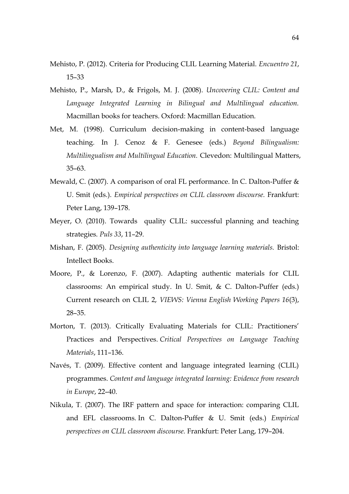- Mehisto, P. (2012). Criteria for Producing CLIL Learning Material. *Encuentro 21*, 15–33
- Mehisto, P., Marsh, D., & Frigols, M. J. (2008). *Uncovering CLIL: Content and Language Integrated Learning in Bilingual and Multilingual education.* Macmillan books for teachers. Oxford: Macmillan Education.
- Met, M. (1998). Curriculum decision-making in content-based language teaching. In J. Cenoz & F. Genesee (eds.) *Beyond Bilingualism: Multilingualism and Multilingual Education.* Clevedon: Multilingual Matters, 35–63.
- Mewald, C. (2007). A comparison of oral FL performance. In C. Dalton-Puffer & U. Smit (eds.). *Empirical perspectives on CLIL classroom discourse.* Frankfurt: Peter Lang, 139–178.
- Meyer, O. (2010). Towards quality CLIL: successful planning and teaching strategies. *Puls 33*, 11–29.
- Mishan, F. (2005). *Designing authenticity into language learning materials.* Bristol: Intellect Books.
- Moore, P., & Lorenzo, F. (2007). Adapting authentic materials for CLIL classrooms: An empirical study. In U. Smit, & C. Dalton-Puffer (eds.) Current research on CLIL 2, *VIEWS: Vienna English Working Papers 16*(3), 28–35.
- Morton, T. (2013). Critically Evaluating Materials for CLIL: Practitioners' Practices and Perspectives. *Critical Perspectives on Language Teaching Materials*, 111–136.
- Navés, T. (2009). Effective content and language integrated learning (CLIL) programmes. *Content and language integrated learning: Evidence from research in Europe*, 22–40.
- Nikula, T. (2007). The IRF pattern and space for interaction: comparing CLIL and EFL classrooms. In C. Dalton-Puffer & U. Smit (eds.) *Empirical perspectives on CLIL classroom discourse.* Frankfurt: Peter Lang, 179–204.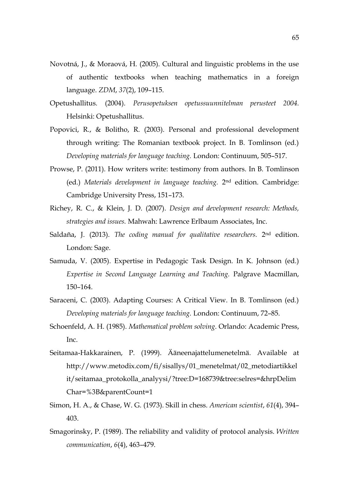- Novotná, J., & Moraová, H. (2005). Cultural and linguistic problems in the use of authentic textbooks when teaching mathematics in a foreign language. *ZDM*, *37*(2), 109–115.
- Opetushallitus. (2004). *Perusopetuksen opetussuunnitelman perusteet 2004.* Helsinki: Opetushallitus.
- Popovici, R., & Bolitho, R. (2003). Personal and professional development through writing: The Romanian textbook project. In B. Tomlinson (ed.) *Developing materials for language teaching.* London: Continuum, 505–517.
- Prowse, P. (2011). How writers write: testimony from authors. In B. Tomlinson (ed.) *Materials development in language teaching.* 2nd edition. Cambridge: Cambridge University Press, 151–173.
- Richey, R. C., & Klein, J. D. (2007). *Design and development research: Methods, strategies and issues.* Mahwah: Lawrence Erlbaum Associates, Inc.
- Saldaña, J. (2013). *The coding manual for qualitative researchers*. 2<sup>nd</sup> edition. London: Sage.
- Samuda, V. (2005). Expertise in Pedagogic Task Design. In K. Johnson (ed.) *Expertise in Second Language Learning and Teaching.* Palgrave Macmillan, 150–164.
- Saraceni, C. (2003). Adapting Courses: A Critical View. In B. Tomlinson (ed.) *Developing materials for language teaching.* London: Continuum, 72–85.
- Schoenfeld, A. H. (1985). *Mathematical problem solving*. Orlando: Academic Press, Inc.
- Seitamaa-Hakkarainen, P. (1999). Ääneenajattelumenetelmä. Available at http://www.metodix.com/fi/sisallys/01\_menetelmat/02\_metodiartikkel it/seitamaa\_protokolla\_analyysi/?tree:D=168739&tree:selres=&hrpDelim Char=%3B&parentCount=1
- Simon, H. A., & Chase, W. G. (1973). Skill in chess. *American scientist*, *61*(4), 394– 403.
- Smagorinsky, P. (1989). The reliability and validity of protocol analysis. *Written communication*, *6*(4), 463–479.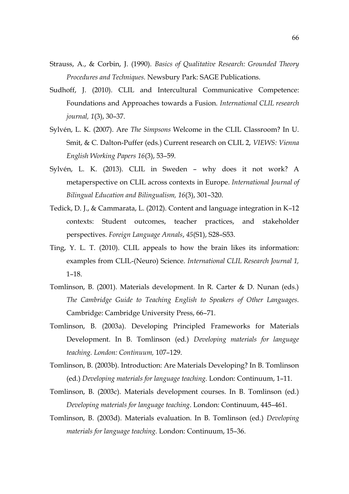- Strauss, A., & Corbin, J. (1990). *Basics of Qualitative Research: Grounded Theory Procedures and Techniques.* Newsbury Park: SAGE Publications.
- Sudhoff, J. (2010). CLIL and Intercultural Communicative Competence: Foundations and Approaches towards a Fusion. *International CLIL research journal, 1*(3), 30–37.
- Sylvén, L. K. (2007). Are *The Simpsons* Welcome in the CLIL Classroom? In U. Smit, & C. Dalton-Puffer (eds.) Current research on CLIL 2, *VIEWS: Vienna English Working Papers 16*(3), 53–59.
- Sylvén, L. K. (2013). CLIL in Sweden why does it not work? A metaperspective on CLIL across contexts in Europe*. International Journal of Bilingual Education and Bilingualism, 16*(3), 301–320.
- Tedick, D. J., & Cammarata, L. (2012). Content and language integration in K–12 contexts: Student outcomes, teacher practices, and stakeholder perspectives. *Foreign Language Annals*, *45*(S1), S28–S53.
- Ting, Y. L. T. (2010). CLIL appeals to how the brain likes its information: examples from CLIL-(Neuro) Science. *International CLIL Research Journal 1,*  1–18.
- Tomlinson, B. (2001). Materials development. In R. Carter & D. Nunan (eds.) *The Cambridge Guide to Teaching English to Speakers of Other Languages.* Cambridge: Cambridge University Press, 66–71.
- Tomlinson, B. (2003a). Developing Principled Frameworks for Materials Development. In B. Tomlinson (ed.) *Developing materials for language teaching. London: Continuum,* 107–129.
- Tomlinson, B. (2003b). Introduction: Are Materials Developing? In B. Tomlinson (ed.) *Developing materials for language teaching.* London: Continuum, 1–11.
- Tomlinson, B. (2003c). Materials development courses. In B. Tomlinson (ed.) *Developing materials for language teaching*. London: Continuum, 445–461.
- Tomlinson, B. (2003d). Materials evaluation. In B. Tomlinson (ed.) *Developing materials for language teaching.* London: Continuum, 15–36.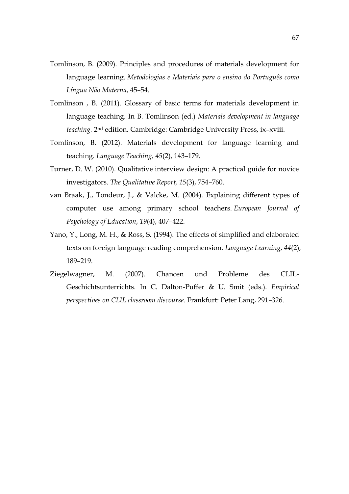- Tomlinson, B. (2009). Principles and procedures of materials development for language learning. *Metodologias e Materiais para o ensino do Português como Língua Não Materna*, 45–54.
- Tomlinson , B. (2011). Glossary of basic terms for materials development in language teaching. In B. Tomlinson (ed.) *Materials development in language teaching.* 2nd edition. Cambridge: Cambridge University Press, ix–xviii.
- Tomlinson, B. (2012). Materials development for language learning and teaching. *Language Teaching, 45*(2), 143–179.
- Turner, D. W. (2010). Qualitative interview design: A practical guide for novice investigators. *The Qualitative Report, 15*(3), 754–760.
- van Braak, J., Tondeur, J., & Valcke, M. (2004). Explaining different types of computer use among primary school teachers. *European Journal of Psychology of Education*, *19*(4), 407–422.
- Yano, Y., Long, M. H., & Ross, S. (1994). The effects of simplified and elaborated texts on foreign language reading comprehension. *Language Learning*, *44*(2), 189–219.
- Ziegelwagner, M. (2007). Chancen und Probleme des CLIL-Geschichtsunterrichts. In C. Dalton-Puffer & U. Smit (eds.). *Empirical perspectives on CLIL classroom discourse.* Frankfurt: Peter Lang, 291–326.